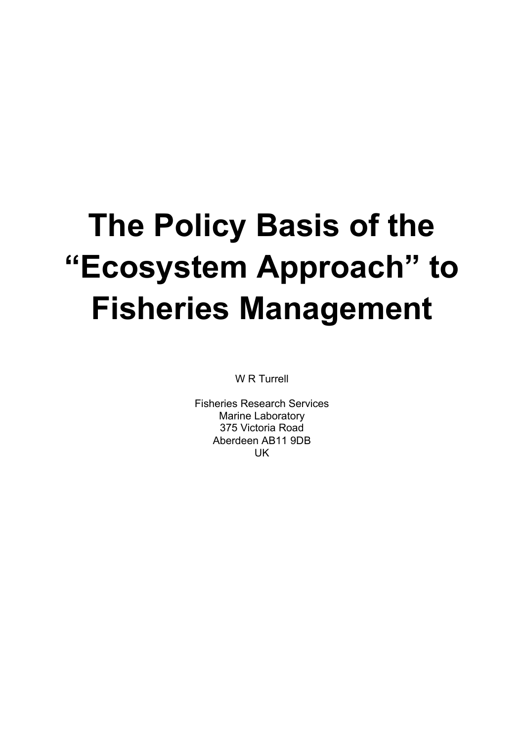# **The Policy Basis of the "Ecosystem Approach" to Fisheries Management**

W R Turrell

Fisheries Research Services Marine Laboratory 375 Victoria Road Aberdeen AB11 9DB UK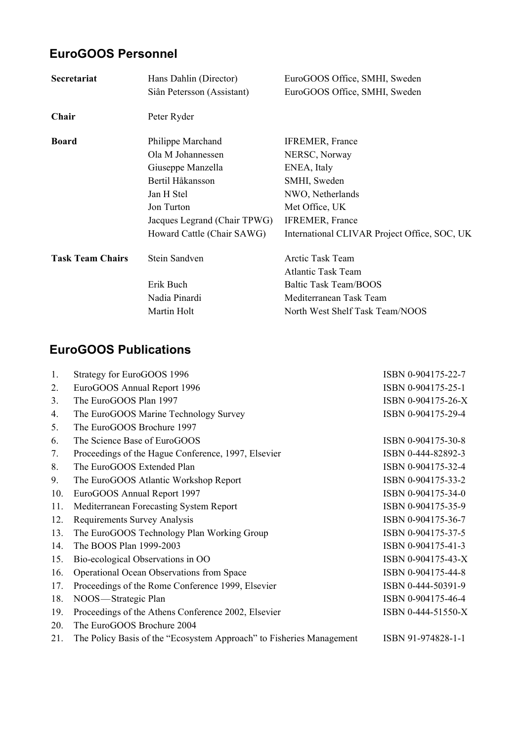## **EuroGOOS Personnel**

| Secretariat             | Hans Dahlin (Director)<br>Siân Petersson (Assistant) | EuroGOOS Office, SMHI, Sweden<br>EuroGOOS Office, SMHI, Sweden |  |  |  |
|-------------------------|------------------------------------------------------|----------------------------------------------------------------|--|--|--|
| Chair                   | Peter Ryder                                          |                                                                |  |  |  |
| <b>Board</b>            | Philippe Marchand                                    | <b>IFREMER, France</b>                                         |  |  |  |
|                         | Ola M Johannessen                                    | NERSC, Norway                                                  |  |  |  |
|                         | Giuseppe Manzella                                    | ENEA, Italy                                                    |  |  |  |
|                         | Bertil Håkansson                                     | SMHI, Sweden                                                   |  |  |  |
|                         | Jan H Stel                                           | NWO, Netherlands                                               |  |  |  |
|                         | Jon Turton                                           | Met Office, UK                                                 |  |  |  |
|                         | Jacques Legrand (Chair TPWG)                         | IFREMER, France                                                |  |  |  |
|                         | Howard Cattle (Chair SAWG)                           | International CLIVAR Project Office, SOC, UK                   |  |  |  |
| <b>Task Team Chairs</b> | Stein Sandven                                        | Arctic Task Team                                               |  |  |  |
|                         |                                                      | <b>Atlantic Task Team</b>                                      |  |  |  |
|                         | Erik Buch                                            | <b>Baltic Task Team/BOOS</b>                                   |  |  |  |
|                         | Nadia Pinardi                                        | Mediterranean Task Team                                        |  |  |  |
|                         | Martin Holt                                          | North West Shelf Task Team/NOOS                                |  |  |  |

## **EuroGOOS Publications**

| 1.             | Strategy for EuroGOOS 1996                                           | ISBN 0-904175-22-7 |
|----------------|----------------------------------------------------------------------|--------------------|
| 2.             | EuroGOOS Annual Report 1996                                          | ISBN 0-904175-25-1 |
| 3.             | The EuroGOOS Plan 1997                                               | ISBN 0-904175-26-X |
| 4.             | The EuroGOOS Marine Technology Survey                                | ISBN 0-904175-29-4 |
| 5 <sub>1</sub> | The EuroGOOS Brochure 1997                                           |                    |
| 6.             | The Science Base of EuroGOOS                                         | ISBN 0-904175-30-8 |
| 7.             | Proceedings of the Hague Conference, 1997, Elsevier                  | ISBN 0-444-82892-3 |
| 8.             | The EuroGOOS Extended Plan                                           | ISBN 0-904175-32-4 |
| 9.             | The EuroGOOS Atlantic Workshop Report                                | ISBN 0-904175-33-2 |
| 10.            | EuroGOOS Annual Report 1997                                          | ISBN 0-904175-34-0 |
| 11.            | Mediterranean Forecasting System Report                              | ISBN 0-904175-35-9 |
| 12.            | Requirements Survey Analysis                                         | ISBN 0-904175-36-7 |
| 13.            | The EuroGOOS Technology Plan Working Group                           | ISBN 0-904175-37-5 |
| 14.            | The BOOS Plan 1999-2003                                              | ISBN 0-904175-41-3 |
| 15.            | Bio-ecological Observations in OO                                    | ISBN 0-904175-43-X |
| 16.            | Operational Ocean Observations from Space                            | ISBN 0-904175-44-8 |
| 17.            | Proceedings of the Rome Conference 1999, Elsevier                    | ISBN 0-444-50391-9 |
| 18.            | NOOS-Strategic Plan                                                  | ISBN 0-904175-46-4 |
| 19.            | Proceedings of the Athens Conference 2002, Elsevier                  | ISBN 0-444-51550-X |
| 20.            | The EuroGOOS Brochure 2004                                           |                    |
| 21.            | The Policy Basis of the "Ecosystem Approach" to Fisheries Management | ISBN 91-974828-1-1 |
|                |                                                                      |                    |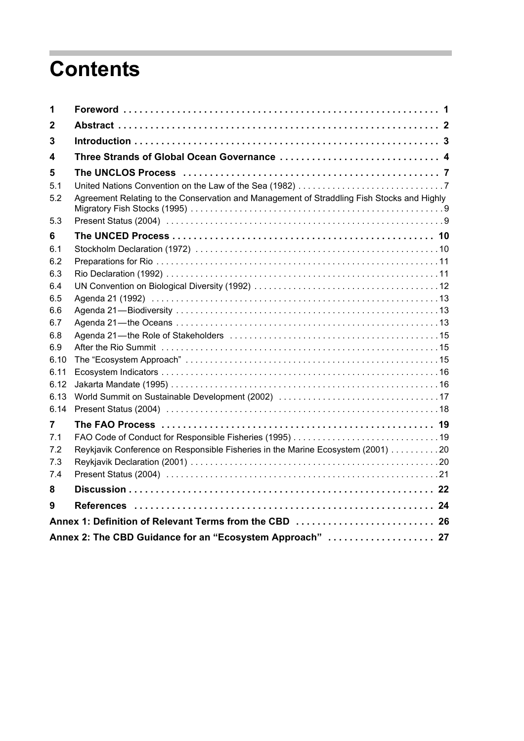## **Contents**

п

| 1          |                                                                                            |
|------------|--------------------------------------------------------------------------------------------|
| 2          |                                                                                            |
| 3          |                                                                                            |
| 4          | Three Strands of Global Ocean Governance  4                                                |
| 5          |                                                                                            |
| 5.1        |                                                                                            |
| 5.2        | Agreement Relating to the Conservation and Management of Straddling Fish Stocks and Highly |
| 5.3        |                                                                                            |
| 6          |                                                                                            |
| 6.1        |                                                                                            |
| 6.2        |                                                                                            |
| 6.3        |                                                                                            |
| 64         |                                                                                            |
| 6.5        |                                                                                            |
| 6.6        |                                                                                            |
| 6.7        |                                                                                            |
| 6.8<br>6.9 |                                                                                            |
| 6.10       |                                                                                            |
| 6.11       |                                                                                            |
| 6.12       |                                                                                            |
| 6.13       |                                                                                            |
| 6.14       |                                                                                            |
| 7          |                                                                                            |
| 7.1        |                                                                                            |
| 7.2        | Reykjavik Conference on Responsible Fisheries in the Marine Ecosystem (2001) 20            |
| 7.3        |                                                                                            |
| 7.4        |                                                                                            |
| 8          |                                                                                            |
| 9          |                                                                                            |
|            | Annex 1: Definition of Relevant Terms from the CBD  26                                     |
|            | Annex 2: The CBD Guidance for an "Ecosystem Approach"  27                                  |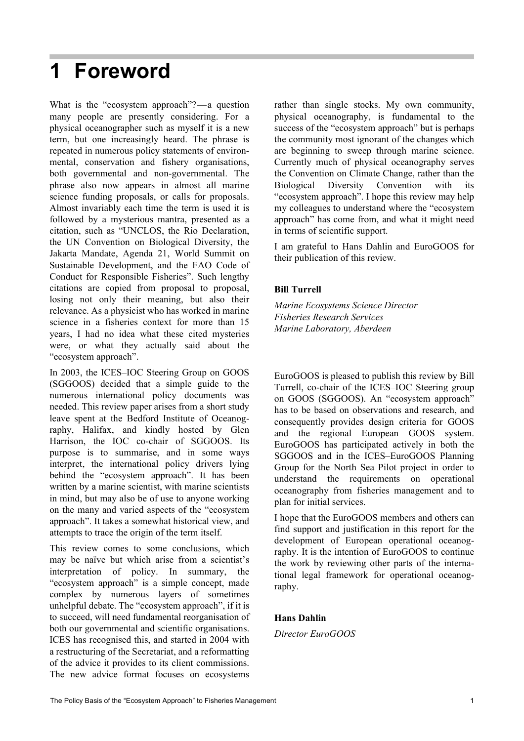## **1 Foreword**

What is the "ecosystem approach"?—a question many people are presently considering. For a physical oceanographer such as myself it is a new term, but one increasingly heard. The phrase is repeated in numerous policy statements of environmental, conservation and fishery organisations, both governmental and non-governmental. The phrase also now appears in almost all marine science funding proposals, or calls for proposals. Almost invariably each time the term is used it is followed by a mysterious mantra, presented as a citation, such as "UNCLOS, the Rio Declaration, the UN Convention on Biological Diversity, the Jakarta Mandate, Agenda 21, World Summit on Sustainable Development, and the FAO Code of Conduct for Responsible Fisheries". Such lengthy citations are copied from proposal to proposal, losing not only their meaning, but also their relevance. As a physicist who has worked in marine science in a fisheries context for more than 15 years, I had no idea what these cited mysteries were, or what they actually said about the "ecosystem approach".

In 2003, the ICES–IOC Steering Group on GOOS (SGGOOS) decided that a simple guide to the numerous international policy documents was needed. This review paper arises from a short study leave spent at the Bedford Institute of Oceanography, Halifax, and kindly hosted by Glen Harrison, the IOC co-chair of SGGOOS. Its purpose is to summarise, and in some ways interpret, the international policy drivers lying behind the "ecosystem approach". It has been written by a marine scientist, with marine scientists in mind, but may also be of use to anyone working on the many and varied aspects of the "ecosystem approach". It takes a somewhat historical view, and attempts to trace the origin of the term itself.

This review comes to some conclusions, which may be naïve but which arise from a scientist's interpretation of policy. In summary, the "ecosystem approach" is a simple concept, made complex by numerous layers of sometimes unhelpful debate. The "ecosystem approach", if it is to succeed, will need fundamental reorganisation of both our governmental and scientific organisations. ICES has recognised this, and started in 2004 with a restructuring of the Secretariat, and a reformatting of the advice it provides to its client commissions. The new advice format focuses on ecosystems

rather than single stocks. My own community, physical oceanography, is fundamental to the success of the "ecosystem approach" but is perhaps the community most ignorant of the changes which are beginning to sweep through marine science. Currently much of physical oceanography serves the Convention on Climate Change, rather than the Biological Diversity Convention with its "ecosystem approach". I hope this review may help my colleagues to understand where the "ecosystem approach" has come from, and what it might need in terms of scientific support.

I am grateful to Hans Dahlin and EuroGOOS for their publication of this review.

#### **Bill Turrell**

*Marine Ecosystems Science Director Fisheries Research Services Marine Laboratory, Aberdeen*

EuroGOOS is pleased to publish this review by Bill Turrell, co-chair of the ICES–IOC Steering group on GOOS (SGGOOS). An "ecosystem approach" has to be based on observations and research, and consequently provides design criteria for GOOS and the regional European GOOS system. EuroGOOS has participated actively in both the SGGOOS and in the ICES–EuroGOOS Planning Group for the North Sea Pilot project in order to understand the requirements on operational oceanography from fisheries management and to plan for initial services.

I hope that the EuroGOOS members and others can find support and justification in this report for the development of European operational oceanography. It is the intention of EuroGOOS to continue the work by reviewing other parts of the international legal framework for operational oceanography.

#### **Hans Dahlin**

*Director EuroGOOS*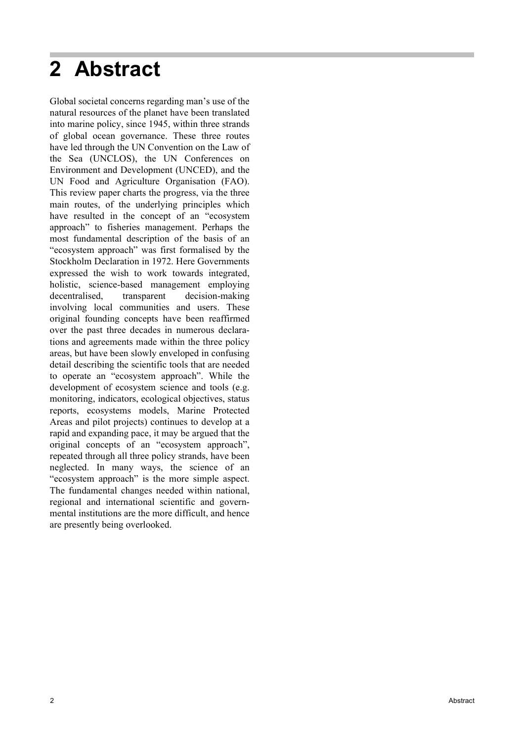## **2 Abstract**

Global societal concerns regarding man's use of the natural resources of the planet have been translated into marine policy, since 1945, within three strands of global ocean governance. These three routes have led through the UN Convention on the Law of the Sea (UNCLOS), the UN Conferences on Environment and Development (UNCED), and the UN Food and Agriculture Organisation (FAO). This review paper charts the progress, via the three main routes, of the underlying principles which have resulted in the concept of an "ecosystem approach" to fisheries management. Perhaps the most fundamental description of the basis of an "ecosystem approach" was first formalised by the Stockholm Declaration in 1972. Here Governments expressed the wish to work towards integrated, holistic, science-based management employing decentralised, transparent decision-making involving local communities and users. These original founding concepts have been reaffirmed over the past three decades in numerous declarations and agreements made within the three policy areas, but have been slowly enveloped in confusing detail describing the scientific tools that are needed to operate an "ecosystem approach". While the development of ecosystem science and tools (e.g. monitoring, indicators, ecological objectives, status reports, ecosystems models, Marine Protected Areas and pilot projects) continues to develop at a rapid and expanding pace, it may be argued that the original concepts of an "ecosystem approach", repeated through all three policy strands, have been neglected. In many ways, the science of an "ecosystem approach" is the more simple aspect. The fundamental changes needed within national, regional and international scientific and governmental institutions are the more difficult, and hence are presently being overlooked.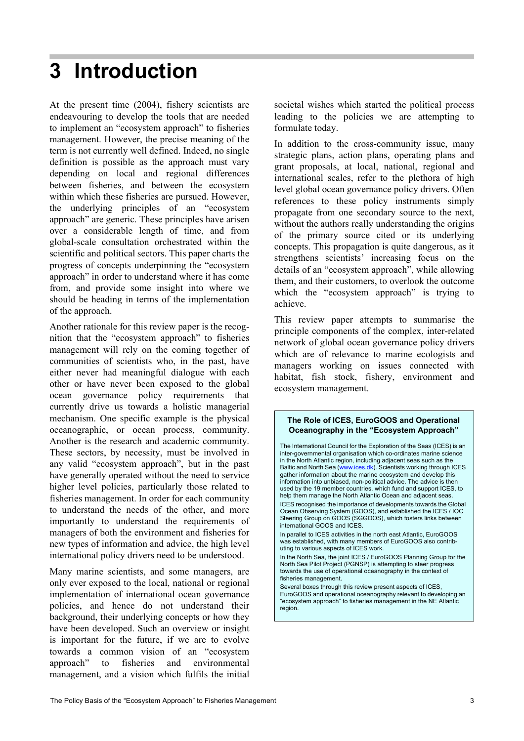## **3 Introduction**

At the present time (2004), fishery scientists are endeavouring to develop the tools that are needed to implement an "ecosystem approach" to fisheries management. However, the precise meaning of the term is not currently well defined. Indeed, no single definition is possible as the approach must vary depending on local and regional differences between fisheries, and between the ecosystem within which these fisheries are pursued. However, the underlying principles of an "ecosystem approach" are generic. These principles have arisen over a considerable length of time, and from global-scale consultation orchestrated within the scientific and political sectors. This paper charts the progress of concepts underpinning the "ecosystem approach" in order to understand where it has come from, and provide some insight into where we should be heading in terms of the implementation of the approach.

Another rationale for this review paper is the recognition that the "ecosystem approach" to fisheries management will rely on the coming together of communities of scientists who, in the past, have either never had meaningful dialogue with each other or have never been exposed to the global ocean governance policy requirements that currently drive us towards a holistic managerial mechanism. One specific example is the physical oceanographic, or ocean process, community. Another is the research and academic community. These sectors, by necessity, must be involved in any valid "ecosystem approach", but in the past have generally operated without the need to service higher level policies, particularly those related to fisheries management. In order for each community to understand the needs of the other, and more importantly to understand the requirements of managers of both the environment and fisheries for new types of information and advice, the high level international policy drivers need to be understood.

Many marine scientists, and some managers, are only ever exposed to the local, national or regional implementation of international ocean governance policies, and hence do not understand their background, their underlying concepts or how they have been developed. Such an overview or insight is important for the future, if we are to evolve towards a common vision of an "ecosystem approach" to fisheries and environmental management, and a vision which fulfils the initial

societal wishes which started the political process leading to the policies we are attempting to formulate today.

In addition to the cross-community issue, many strategic plans, action plans, operating plans and grant proposals, at local, national, regional and international scales, refer to the plethora of high level global ocean governance policy drivers. Often references to these policy instruments simply propagate from one secondary source to the next, without the authors really understanding the origins of the primary source cited or its underlying concepts. This propagation is quite dangerous, as it strengthens scientists' increasing focus on the details of an "ecosystem approach", while allowing them, and their customers, to overlook the outcome which the "ecosystem approach" is trying to achieve.

This review paper attempts to summarise the principle components of the complex, inter-related network of global ocean governance policy drivers which are of relevance to marine ecologists and managers working on issues connected with habitat, fish stock, fishery, environment and ecosystem management.

#### **The Role of ICES, EuroGOOS and Operational Oceanography in the "Ecosystem Approach"**

The International Council for the Exploration of the Seas (ICES) is an inter-governmental organisation which co-ordinates marine science inter governmental eigenteen, including adjacent seas such as the Baltic and North Sea (www.ices.dk). Scientists working through ICES gather information about the marine ecosystem and develop this information into unbiased, non-political advice. The advice is then used by the 19 member countries, which fund and support ICES, to help them manage the North Atlantic Ocean and adjacent seas. ICES recognised the importance of developments towards the Global Ocean Observing System (GOOS), and established the ICES / IOC Steering Group on GOOS (SGGOOS), which fosters links between international GOOS and ICES. In parallel to ICES activities in the north east Atlantic, EuroGOOS was established, with many members of EuroGOOS also contributing to various aspects of ICES work. In the North Sea, the joint ICES / EuroGOOS Planning Group for the North Sea Pilot Project (PGNSP) is attempting to steer progress towards the use of operational oceanography in the context of fisheries management. Several boxes through this review present aspects of ICES,

EuroGOOS and operational oceanography relevant to developing an "ecosystem approach" to fisheries management in the NE Atlantic region.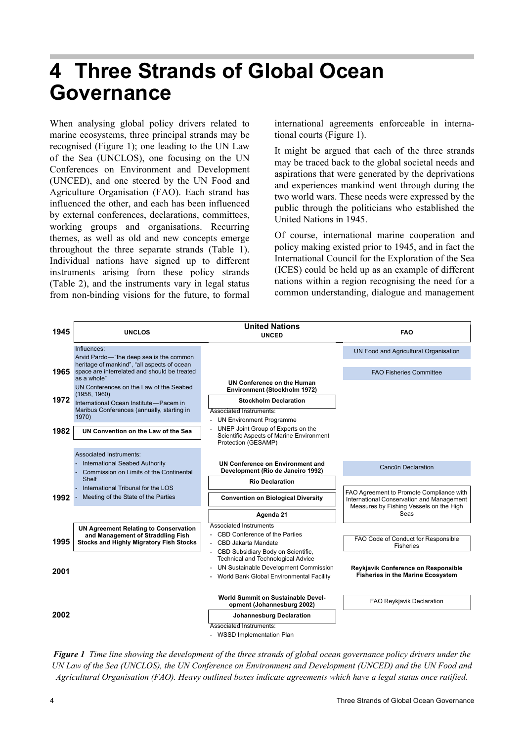## **4 Three Strands of Global Ocean Governance**

When analysing global policy drivers related to marine ecosystems, three principal strands may be recognised (Figure 1); one leading to the UN Law of the Sea (UNCLOS), one focusing on the UN Conferences on Environment and Development (UNCED), and one steered by the UN Food and Agriculture Organisation (FAO). Each strand has influenced the other, and each has been influenced by external conferences, declarations, committees, working groups and organisations. Recurring themes, as well as old and new concepts emerge throughout the three separate strands (Table 1). Individual nations have signed up to different instruments arising from these policy strands (Table 2), and the instruments vary in legal status from non-binding visions for the future, to formal

international agreements enforceable in international courts (Figure 1).

It might be argued that each of the three strands may be traced back to the global societal needs and aspirations that were generated by the deprivations and experiences mankind went through during the two world wars. These needs were expressed by the public through the politicians who established the United Nations in 1945.

Of course, international marine cooperation and policy making existed prior to 1945, and in fact the International Council for the Exploration of the Sea (ICES) could be held up as an example of different nations within a region recognising the need for a common understanding, dialogue and management



*Figure 1 Time line showing the development of the three strands of global ocean governance policy drivers under the UN Law of the Sea (UNCLOS), the UN Conference on Environment and Development (UNCED) and the UN Food and Agricultural Organisation (FAO). Heavy outlined boxes indicate agreements which have a legal status once ratified.*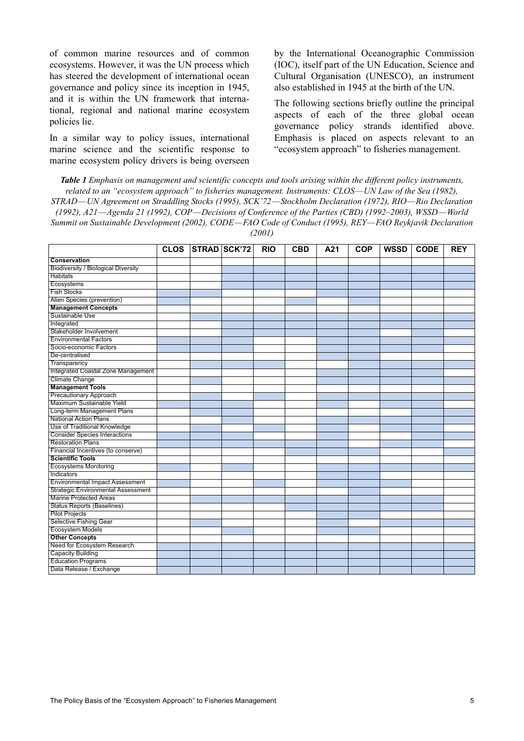of common marine resources and of common ecosystems. However, it was the UN process which has steered the development of international ocean governance and policy since its inception in 1945, and it is within the UN framework that international, regional and national marine ecosystem policies lie.

In a similar way to policy issues, international marine science and the scientific response to marine ecosystem policy drivers is being overseen by the International Oceanographic Commission (IOC), itself part of the UN Education, Science and Cultural Organisation (UNESCO), an instrument also established in 1945 at the birth of the UN.

The following sections briefly outline the principal aspects of each of the three global ocean governance policy strands identified above. Emphasis is placed on aspects relevant to an "ecosystem approach" to fisheries management.

*Table 1 Emphasis on management and scientific concepts and tools arising within the different policy instruments, related to an "ecosystem approach" to fisheries management. Instruments: CLOS—UN Law of the Sea (1982), STRAD—UN Agreement on Straddling Stocks (1995), SCK'72—Stockholm Declaration (1972), RIO—Rio Declaration (1992), A21—Agenda 21 (1992), COP—Decisions of Conference of the Parties (CBD) (1992–2003), WSSD—World Summit on Sustainable Development (2002), CODE—FAO Code of Conduct (1995), REY—FAO Reykjavik Declaration (2001)*

|                                            | <b>CLOS</b> | STRAD SCK'72 | <b>RIO</b> | <b>CBD</b> | A21 | <b>COP</b> | <b>WSSD</b> | <b>CODE</b> | <b>REY</b> |
|--------------------------------------------|-------------|--------------|------------|------------|-----|------------|-------------|-------------|------------|
|                                            |             |              |            |            |     |            |             |             |            |
| Conservation                               |             |              |            |            |     |            |             |             |            |
| <b>Biodiversity / Biological Diversity</b> |             |              |            |            |     |            |             |             |            |
| <b>Habitats</b>                            |             |              |            |            |     |            |             |             |            |
| Ecosystems                                 |             |              |            |            |     |            |             |             |            |
| <b>Fish Stocks</b>                         |             |              |            |            |     |            |             |             |            |
| Alien Species (prevention)                 |             |              |            |            |     |            |             |             |            |
| <b>Management Concepts</b>                 |             |              |            |            |     |            |             |             |            |
| Sustainable Use                            |             |              |            |            |     |            |             |             |            |
| Integrated                                 |             |              |            |            |     |            |             |             |            |
| Stakeholder Involvement                    |             |              |            |            |     |            |             |             |            |
| <b>Environmental Factors</b>               |             |              |            |            |     |            |             |             |            |
| Socio-economic Factors                     |             |              |            |            |     |            |             |             |            |
| De-centralised                             |             |              |            |            |     |            |             |             |            |
| Transparency                               |             |              |            |            |     |            |             |             |            |
| Integrated Coastal Zone Management         |             |              |            |            |     |            |             |             |            |
| Climate Change                             |             |              |            |            |     |            |             |             |            |
| <b>Management Tools</b>                    |             |              |            |            |     |            |             |             |            |
| Precautionary Approach                     |             |              |            |            |     |            |             |             |            |
| Maximum Sustainable Yield                  |             |              |            |            |     |            |             |             |            |
| Long-term Management Plans                 |             |              |            |            |     |            |             |             |            |
| <b>National Action Plans</b>               |             |              |            |            |     |            |             |             |            |
| Use of Traditional Knowledge               |             |              |            |            |     |            |             |             |            |
| <b>Consider Species Interactions</b>       |             |              |            |            |     |            |             |             |            |
| <b>Restoration Plans</b>                   |             |              |            |            |     |            |             |             |            |
| Financial Incentives (to conserve)         |             |              |            |            |     |            |             |             |            |
| <b>Scientific Tools</b>                    |             |              |            |            |     |            |             |             |            |
| <b>Ecosystems Monitoring</b>               |             |              |            |            |     |            |             |             |            |
| Indicators                                 |             |              |            |            |     |            |             |             |            |
| <b>Environmental Impact Assessment</b>     |             |              |            |            |     |            |             |             |            |
| <b>Strategic Environmental Assessment</b>  |             |              |            |            |     |            |             |             |            |
| <b>Marine Protected Areas</b>              |             |              |            |            |     |            |             |             |            |
| <b>Status Reports (Baselines)</b>          |             |              |            |            |     |            |             |             |            |
| <b>Pilot Projects</b>                      |             |              |            |            |     |            |             |             |            |
| <b>Selective Fishing Gear</b>              |             |              |            |            |     |            |             |             |            |
| <b>Ecosystem Models</b>                    |             |              |            |            |     |            |             |             |            |
| <b>Other Concepts</b>                      |             |              |            |            |     |            |             |             |            |
| Need for Ecosystem Research                |             |              |            |            |     |            |             |             |            |
| <b>Capacity Building</b>                   |             |              |            |            |     |            |             |             |            |
| <b>Education Programs</b>                  |             |              |            |            |     |            |             |             |            |
| Data Release / Exchange                    |             |              |            |            |     |            |             |             |            |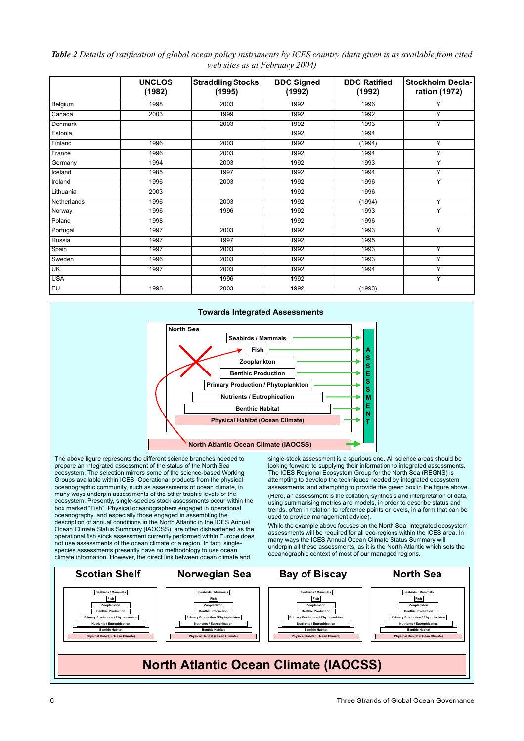#### *Table 2 Details of ratification of global ocean policy instruments by ICES country (data given is as available from cited web sites as at February 2004)*

|                         | <b>UNCLOS</b><br>(1982) | <b>Straddling Stocks</b><br>(1995) | <b>BDC Signed</b><br>(1992) | <b>BDC Ratified</b><br>(1992) | Stockholm Decla-<br>ration (1972) |
|-------------------------|-------------------------|------------------------------------|-----------------------------|-------------------------------|-----------------------------------|
| Belgium                 | 1998                    | 2003                               | 1992                        | 1996                          | Y                                 |
| Canada                  | 2003                    | 1999                               | 1992                        | 1992                          | Y                                 |
| Denmark                 |                         | 2003                               | 1992                        | 1993                          | Y                                 |
| Estonia                 |                         |                                    | 1992                        | 1994                          |                                   |
| Finland                 | 1996                    | 2003                               | 1992                        | (1994)                        | Y                                 |
| France                  | 1996                    | 2003                               | 1992                        | 1994                          | Y                                 |
| Germany                 | 1994                    | 2003                               | 1992                        | 1993                          | Υ                                 |
| Iceland                 | 1985                    | 1997                               | 1992                        | 1994                          | Y                                 |
| Ireland                 | 1996                    | 2003                               | 1992                        | 1996                          | Y                                 |
| Lithuania               | 2003                    |                                    | 1992                        | 1996                          |                                   |
| Netherlands             | 1996                    | 2003                               | 1992                        | (1994)                        | Y                                 |
| Norway                  | 1996                    | 1996                               | 1992                        | 1993                          | Y                                 |
| Poland                  | 1998                    |                                    | 1992                        | 1996                          |                                   |
| Portugal                | 1997                    | 2003                               | 1992                        | 1993                          | Y                                 |
| Russia                  | 1997                    | 1997                               | 1992                        | 1995                          |                                   |
| Spain                   | 1997                    | 2003                               | 1992                        | 1993                          | Y                                 |
| Sweden                  | 1996                    | 2003                               | 1992                        | 1993                          | Y                                 |
| $\overline{\mathsf{K}}$ | 1997                    | 2003                               | 1992                        | 1994                          | Υ                                 |
| <b>USA</b>              |                         | 1996                               | 1992                        |                               | Y                                 |
| EU                      | 1998                    | 2003                               | 1992                        | (1993)                        |                                   |



prepare an integrated assessment of the status of the North Sea ecosystem. The selection mirrors some of the science-based Working Groups available within ICES. Operational products from the physical oceanographic community, such as assessments of ocean climate, in many ways underpin assessments of the other trophic levels of the ecosystem. Presently, single-species stock assessments occur within the box marked "Fish". Physical oceanographers engaged in operational oceanography, and especially those engaged in assembling the description of annual conditions in the North Atlantic in the ICES Annual Ocean Climate Status Summary (IAOCSS), are often disheartened as the operational fish stock assessment currently performed within Europe does not use assessments of the ocean climate of a region. In fact, singlespecies assessments presently have no methodology to use ocean climate information. However, the direct link between ocean climate and

looking forward to supplying their information to integrated assessments. The ICES Regional Ecosystem Group for the North Sea (REGNS) is attempting to develop the techniques needed by integrated ecosystem assessments, and attempting to provide the green box in the figure above.

(Here, an assessment is the collation, synthesis and interpretation of data, using summarising metrics and models, in order to describe status and trends, often in relation to reference points or levels, in a form that can be used to provide management advice).

While the example above focuses on the North Sea, integrated ecosystem assessments will be required for all eco-regions within the ICES area. In many ways the ICES Annual Ocean Climate Status Summary will underpin all these assessments, as it is the North Atlantic which sets the oceanographic context of most of our managed regions.

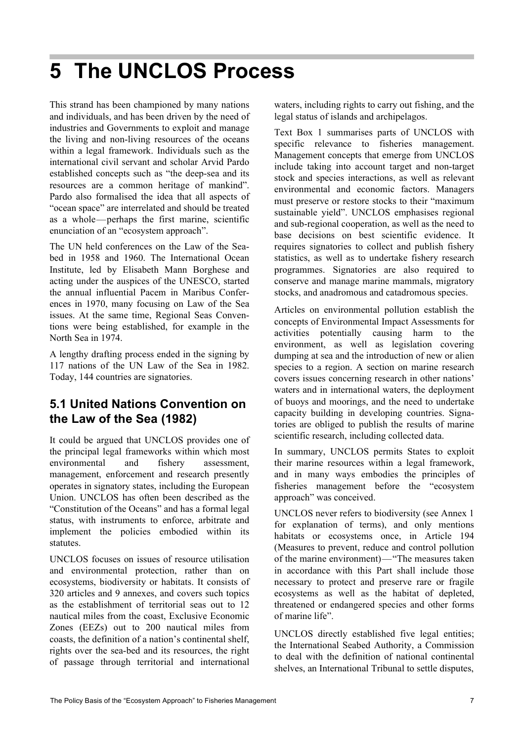## **5 The UNCLOS Process**

This strand has been championed by many nations and individuals, and has been driven by the need of industries and Governments to exploit and manage the living and non-living resources of the oceans within a legal framework. Individuals such as the international civil servant and scholar Arvid Pardo established concepts such as "the deep-sea and its resources are a common heritage of mankind". Pardo also formalised the idea that all aspects of "ocean space" are interrelated and should be treated as a whole—perhaps the first marine, scientific enunciation of an "ecosystem approach".

The UN held conferences on the Law of the Seabed in 1958 and 1960. The International Ocean Institute, led by Elisabeth Mann Borghese and acting under the auspices of the UNESCO, started the annual influential Pacem in Maribus Conferences in 1970, many focusing on Law of the Sea issues. At the same time, Regional Seas Conventions were being established, for example in the North Sea in 1974.

A lengthy drafting process ended in the signing by 117 nations of the UN Law of the Sea in 1982. Today, 144 countries are signatories.

### **5.1 United Nations Convention on the Law of the Sea (1982)**

It could be argued that UNCLOS provides one of the principal legal frameworks within which most environmental and fishery assessment, management, enforcement and research presently operates in signatory states, including the European Union. UNCLOS has often been described as the "Constitution of the Oceans" and has a formal legal status, with instruments to enforce, arbitrate and implement the policies embodied within its statutes.

UNCLOS focuses on issues of resource utilisation and environmental protection, rather than on ecosystems, biodiversity or habitats. It consists of 320 articles and 9 annexes, and covers such topics as the establishment of territorial seas out to 12 nautical miles from the coast, Exclusive Economic Zones (EEZs) out to 200 nautical miles from coasts, the definition of a nation's continental shelf, rights over the sea-bed and its resources, the right of passage through territorial and international

waters, including rights to carry out fishing, and the legal status of islands and archipelagos.

Text Box 1 summarises parts of UNCLOS with specific relevance to fisheries management. Management concepts that emerge from UNCLOS include taking into account target and non-target stock and species interactions, as well as relevant environmental and economic factors. Managers must preserve or restore stocks to their "maximum sustainable yield". UNCLOS emphasises regional and sub-regional cooperation, as well as the need to base decisions on best scientific evidence. It requires signatories to collect and publish fishery statistics, as well as to undertake fishery research programmes. Signatories are also required to conserve and manage marine mammals, migratory stocks, and anadromous and catadromous species.

Articles on environmental pollution establish the concepts of Environmental Impact Assessments for activities potentially causing harm to the environment, as well as legislation covering dumping at sea and the introduction of new or alien species to a region. A section on marine research covers issues concerning research in other nations' waters and in international waters, the deployment of buoys and moorings, and the need to undertake capacity building in developing countries. Signatories are obliged to publish the results of marine scientific research, including collected data.

In summary, UNCLOS permits States to exploit their marine resources within a legal framework, and in many ways embodies the principles of fisheries management before the "ecosystem approach" was conceived.

UNCLOS never refers to biodiversity (see Annex 1 for explanation of terms), and only mentions habitats or ecosystems once, in Article 194 (Measures to prevent, reduce and control pollution of the marine environment)—"The measures taken in accordance with this Part shall include those necessary to protect and preserve rare or fragile ecosystems as well as the habitat of depleted, threatened or endangered species and other forms of marine life".

UNCLOS directly established five legal entities; the International Seabed Authority, a Commission to deal with the definition of national continental shelves, an International Tribunal to settle disputes,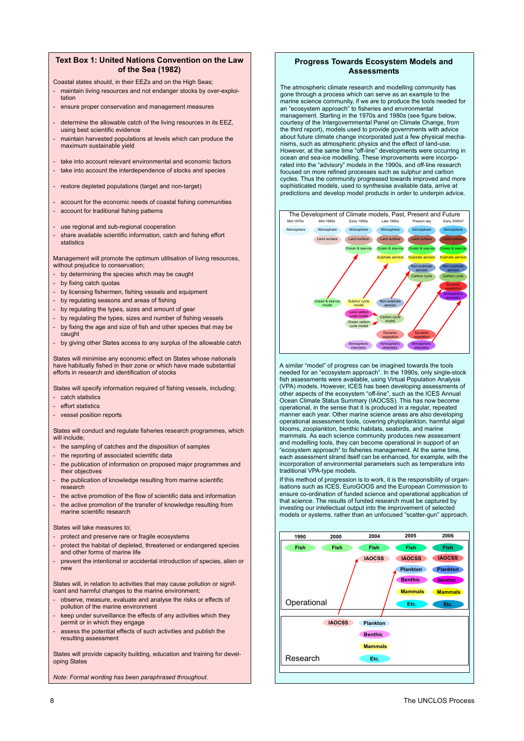#### **Text Box 1: United Nations Convention on the Law of the Sea (1982)**

- Coastal states should, in their EEZs and on the High Seas;
- maintain living resources and not endanger stocks by over-exploitation
- ensure proper conservation and management measures
- determine the allowable catch of the living resources in its EEZ, using best scientific evidence
- maintain harvested populations at levels which can produce the maximum sustainable yield
- take into account relevant environmental and economic factors
- take into account the interdependence of stocks and species
- restore depleted populations (target and non-target)
- account for the economic needs of coastal fishing communities - account for traditional fishing patterns
- use regional and sub-regional cooperation
- share available scientific information, catch and fishing effort statistics

Management will promote the optimum utilisation of living resources, without prejudice to conservation;

- by determining the species which may be caught
- by fixing catch quotas
- by licensing fishermen, fishing vessels and equipment
- by regulating seasons and areas of fishing
- by regulating the types, sizes and amount of gear
- by regulating the types, sizes and number of fishing vessels
- by fixing the age and size of fish and other species that may be caught
- by giving other States access to any surplus of the allowable catch

States will minimise any economic effect on States whose nationals have habitually fished in their zone or which have made substantial efforts in research and identification of stocks

States will specify information required of fishing vessels, including: - catch statistics

- effort statistics
- vessel position reports

States will conduct and regulate fisheries research programmes, which will include;

- the sampling of catches and the disposition of samples
- the reporting of associated scientific data
- the publication of information on proposed major programmes and their objectives
- the publication of knowledge resulting from marine scientific research
- the active promotion of the flow of scientific data and information
- the active promotion of the transfer of knowledge resulting from marine scientific research

#### States will take measures to;

- protect and preserve rare or fragile ecosystems
- protect the habitat of depleted, threatened or endangered species and other forms of marine life
- prevent the intentional or accidental introduction of species, alien or .<br>new

States will, in relation to activities that may cause pollution or significant and harmful changes to the marine environment;

- observe, measure, evaluate and analyse the risks or effects of pollution of the marine environment
- keep under surveillance the effects of any activities which they permit or in which they engage
- assess the potential effects of such activities and publish the resulting assessment

States will provide capacity building, education and training for developing States

*Note: Formal wording has been paraphrased throughout.*

#### **Progress Towards Ecosystem Models and Assessments**

The atmospheric climate research and modelling community has an example to through a process which can serve as an example to the marine science community, if we are to produce the tools needed for an "ecosystem approach" to fisheries and environmental management. Starting in the 1970s and 1980s (see figure below, courtesy of the Intergovernmental Panel on Climate Change, from the third report), models used to provide governments with advice about future climate change incorporated just a few physical mecha-nisms, such as atmospheric physics and the effect of land-use. However, at the same time "off-line" developments were occurring in ocean and sea-ice modelling. These improvements were incorpo-rated into the "advisory" models in the 1990s, and off-line research focused on more refined processes such as sulphur and carbon cycles. Thus the community progressed towards improved and more sophisticated models, used to synthesise available data, arrive at predictions and develop model products in order to underpin advice.



A similar "model" of progress can be imagined towards the tools needed for an "ecosystem approach". In the 1990s, only single-stock fish assessments were available, using Virtual Population Analysis (VPA) models. However, ICES has been developing assessments of other aspects of the ecosystem "off-line", such as the ICES Annual Ocean Climate Status Summary (IAOCSS). This has now become operational, in the sense that it is produced in a regular, repeated manner each year. Other marine science areas are also developing operational assessment tools, covering phytoplankton, harmful algal blooms, zooplankton, benthic habitats, seabirds, and marine mammals. As each science community produces new assessment and modelling tools, they can become operational in support of an "ecosystem approach" to fisheries management. At the same time, each assessment strand itself can be enhanced, for example, with the incorporation of environmental parameters such as temperature into traditional VPA-type models.

If this method of progression is to work, it is the responsibility of organisations such as ICES, EuroGOOS and the European Commission to ensure co-ordination of funded science and operational application of that science. The results of funded research must be captured by investing our intellectual output into the improvement of selected models or systems, rather than an unfocused "scatter-gun" approach.

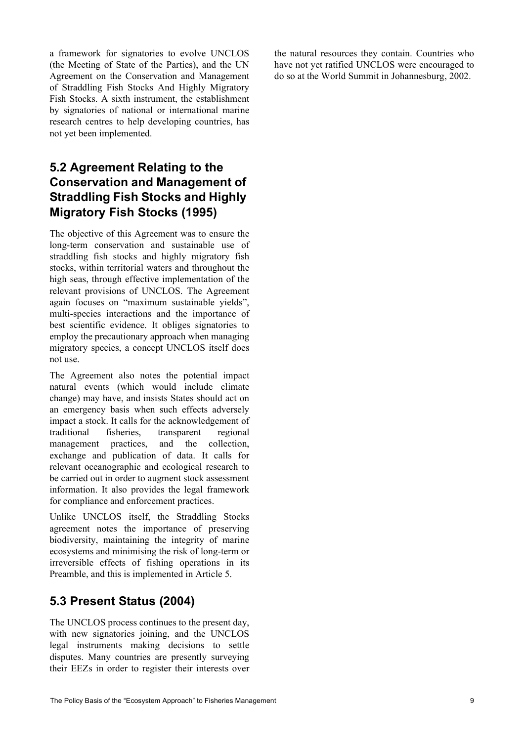a framework for signatories to evolve UNCLOS (the Meeting of State of the Parties), and the UN Agreement on the Conservation and Management of Straddling Fish Stocks And Highly Migratory Fish Stocks. A sixth instrument, the establishment by signatories of national or international marine research centres to help developing countries, has not yet been implemented.

### **5.2 Agreement Relating to the Conservation and Management of Straddling Fish Stocks and Highly Migratory Fish Stocks (1995)**

The objective of this Agreement was to ensure the long-term conservation and sustainable use of straddling fish stocks and highly migratory fish stocks, within territorial waters and throughout the high seas, through effective implementation of the relevant provisions of UNCLOS. The Agreement again focuses on "maximum sustainable yields", multi-species interactions and the importance of best scientific evidence. It obliges signatories to employ the precautionary approach when managing migratory species, a concept UNCLOS itself does not use.

The Agreement also notes the potential impact natural events (which would include climate change) may have, and insists States should act on an emergency basis when such effects adversely impact a stock. It calls for the acknowledgement of traditional fisheries, transparent regional management practices, and the collection, exchange and publication of data. It calls for relevant oceanographic and ecological research to be carried out in order to augment stock assessment information. It also provides the legal framework for compliance and enforcement practices.

Unlike UNCLOS itself, the Straddling Stocks agreement notes the importance of preserving biodiversity, maintaining the integrity of marine ecosystems and minimising the risk of long-term or irreversible effects of fishing operations in its Preamble, and this is implemented in Article 5.

### **5.3 Present Status (2004)**

The UNCLOS process continues to the present day, with new signatories joining, and the UNCLOS legal instruments making decisions to settle disputes. Many countries are presently surveying their EEZs in order to register their interests over the natural resources they contain. Countries who have not yet ratified UNCLOS were encouraged to do so at the World Summit in Johannesburg, 2002.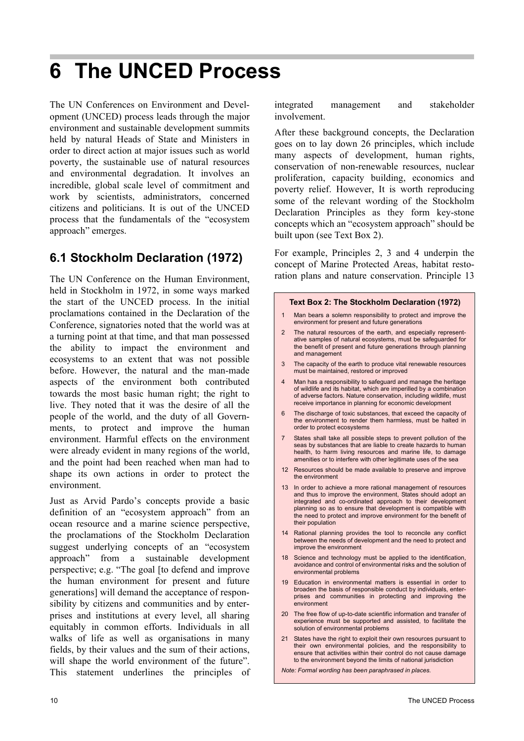## **6 The UNCED Process**

The UN Conferences on Environment and Development (UNCED) process leads through the major environment and sustainable development summits held by natural Heads of State and Ministers in order to direct action at major issues such as world poverty, the sustainable use of natural resources and environmental degradation. It involves an incredible, global scale level of commitment and work by scientists, administrators, concerned citizens and politicians. It is out of the UNCED process that the fundamentals of the "ecosystem approach" emerges.

### **6.1 Stockholm Declaration (1972)**

The UN Conference on the Human Environment, held in Stockholm in 1972, in some ways marked the start of the UNCED process. In the initial proclamations contained in the Declaration of the Conference, signatories noted that the world was at a turning point at that time, and that man possessed the ability to impact the environment and ecosystems to an extent that was not possible before. However, the natural and the man-made aspects of the environment both contributed towards the most basic human right; the right to live. They noted that it was the desire of all the people of the world, and the duty of all Governments, to protect and improve the human environment. Harmful effects on the environment were already evident in many regions of the world, and the point had been reached when man had to shape its own actions in order to protect the environment.

Just as Arvid Pardo's concepts provide a basic definition of an "ecosystem approach" from an ocean resource and a marine science perspective, the proclamations of the Stockholm Declaration suggest underlying concepts of an "ecosystem approach" from a sustainable development perspective; e.g. "The goal [to defend and improve the human environment for present and future generations] will demand the acceptance of responsibility by citizens and communities and by enterprises and institutions at every level, all sharing equitably in common efforts. Individuals in all walks of life as well as organisations in many fields, by their values and the sum of their actions, will shape the world environment of the future". This statement underlines the principles of integrated management and stakeholder involvement.

After these background concepts, the Declaration goes on to lay down 26 principles, which include many aspects of development, human rights, conservation of non-renewable resources, nuclear proliferation, capacity building, economics and poverty relief. However, It is worth reproducing some of the relevant wording of the Stockholm Declaration Principles as they form key-stone concepts which an "ecosystem approach" should be built upon (see Text Box 2).

For example, Principles 2, 3 and 4 underpin the concept of Marine Protected Areas, habitat restoration plans and nature conservation. Principle 13

#### **Text Box 2: The Stockholm Declaration (1972)**

- 1 Man bears a solemn responsibility to protect and improve the environment for present and future generations
- 2 The natural resources of the earth, and especially representative samples of natural ecosystems, must be safeguarded for the benefit of present and future generations through planning and management
- 3 The capacity of the earth to produce vital renewable resources must be maintained, restored or improved
- Man has a responsibility to safeguard and manage the heritage of wildlife and its habitat, which are imperilled by a combination of adverse factors. Nature conservation, including wildlife, must receive importance in planning for economic development
- 6 The discharge of toxic substances, that exceed the capacity of the environment to render them harmless, must be halted in order to protect ecosystems
- States shall take all possible steps to prevent pollution of the seas by substances that are liable to create hazards to human health, to harm living resources and marine life, to damage amenities or to interfere with other legitimate uses of the sea
- 12 Resources should be made available to preserve and improve the environment
- 13 In order to achieve a more rational management of resources and thus to improve the environment, States should adopt an integrated and co-ordinated approach to their development planning so as to ensure that development is compatible with the need to protect and improve environment for the benefit of their population
- 14 Rational planning provides the tool to reconcile any conflict between the needs of development and the need to protect and improve the environment
- 18 Science and technology must be applied to the identification, avoidance and control of environmental risks and the solution of environmental problems
- 19 Education in environmental matters is essential in order to broaden the basis of responsible conduct by individuals, enterprises and communities in protecting and improving the environment
- 20 The free flow of up-to-date scientific information and transfer of experience must be supported and assisted, to facilitate the solution of environmental problems
- 21 States have the right to exploit their own resources pursuant to their own environmental policies, and the responsibility to ensure that activities within their control do not cause damage to the environment beyond the limits of national jurisdiction

*Note: Formal wording has been paraphrased in places.*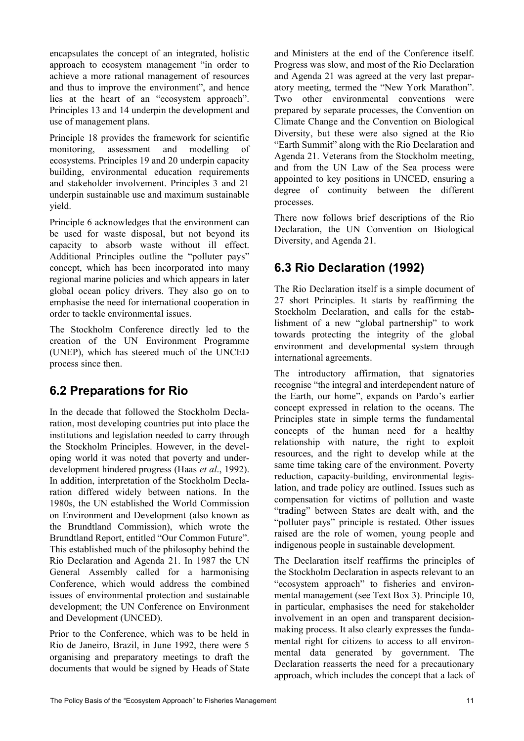encapsulates the concept of an integrated, holistic approach to ecosystem management "in order to achieve a more rational management of resources and thus to improve the environment", and hence lies at the heart of an "ecosystem approach". Principles 13 and 14 underpin the development and use of management plans.

Principle 18 provides the framework for scientific monitoring, assessment and modelling of ecosystems. Principles 19 and 20 underpin capacity building, environmental education requirements and stakeholder involvement. Principles 3 and 21 underpin sustainable use and maximum sustainable yield.

Principle 6 acknowledges that the environment can be used for waste disposal, but not beyond its capacity to absorb waste without ill effect. Additional Principles outline the "polluter pays" concept, which has been incorporated into many regional marine policies and which appears in later global ocean policy drivers. They also go on to emphasise the need for international cooperation in order to tackle environmental issues.

The Stockholm Conference directly led to the creation of the UN Environment Programme (UNEP), which has steered much of the UNCED process since then.

## **6.2 Preparations for Rio**

In the decade that followed the Stockholm Declaration, most developing countries put into place the institutions and legislation needed to carry through the Stockholm Principles. However, in the developing world it was noted that poverty and underdevelopment hindered progress (Haas *et al*., 1992). In addition, interpretation of the Stockholm Declaration differed widely between nations. In the 1980s, the UN established the World Commission on Environment and Development (also known as the Brundtland Commission), which wrote the Brundtland Report, entitled "Our Common Future". This established much of the philosophy behind the Rio Declaration and Agenda 21. In 1987 the UN General Assembly called for a harmonising Conference, which would address the combined issues of environmental protection and sustainable development; the UN Conference on Environment and Development (UNCED).

Prior to the Conference, which was to be held in Rio de Janeiro, Brazil, in June 1992, there were 5 organising and preparatory meetings to draft the documents that would be signed by Heads of State

and Ministers at the end of the Conference itself. Progress was slow, and most of the Rio Declaration and Agenda 21 was agreed at the very last preparatory meeting, termed the "New York Marathon". Two other environmental conventions were prepared by separate processes, the Convention on Climate Change and the Convention on Biological Diversity, but these were also signed at the Rio "Earth Summit" along with the Rio Declaration and Agenda 21. Veterans from the Stockholm meeting, and from the UN Law of the Sea process were appointed to key positions in UNCED, ensuring a degree of continuity between the different processes.

There now follows brief descriptions of the Rio Declaration, the UN Convention on Biological Diversity, and Agenda 21.

## **6.3 Rio Declaration (1992)**

The Rio Declaration itself is a simple document of 27 short Principles. It starts by reaffirming the Stockholm Declaration, and calls for the establishment of a new "global partnership" to work towards protecting the integrity of the global environment and developmental system through international agreements.

The introductory affirmation, that signatories recognise "the integral and interdependent nature of the Earth, our home", expands on Pardo's earlier concept expressed in relation to the oceans. The Principles state in simple terms the fundamental concepts of the human need for a healthy relationship with nature, the right to exploit resources, and the right to develop while at the same time taking care of the environment. Poverty reduction, capacity-building, environmental legislation, and trade policy are outlined. Issues such as compensation for victims of pollution and waste "trading" between States are dealt with, and the "polluter pays" principle is restated. Other issues raised are the role of women, young people and indigenous people in sustainable development.

The Declaration itself reaffirms the principles of the Stockholm Declaration in aspects relevant to an "ecosystem approach" to fisheries and environmental management (see Text Box 3). Principle 10, in particular, emphasises the need for stakeholder involvement in an open and transparent decisionmaking process. It also clearly expresses the fundamental right for citizens to access to all environmental data generated by government. The Declaration reasserts the need for a precautionary approach, which includes the concept that a lack of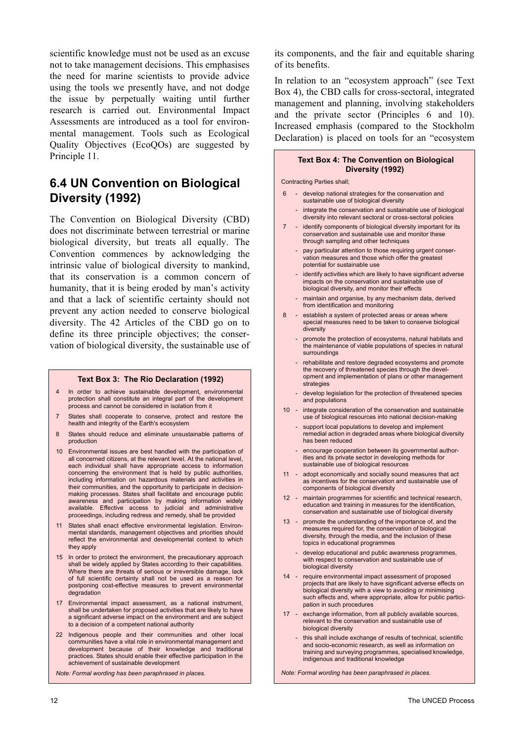scientific knowledge must not be used as an excuse not to take management decisions. This emphasises the need for marine scientists to provide advice using the tools we presently have, and not dodge the issue by perpetually waiting until further research is carried out. Environmental Impact Assessments are introduced as a tool for environmental management. Tools such as Ecological Quality Objectives (EcoQOs) are suggested by Principle 11.

#### **6.4 UN Convention on Biological Diversity (1992)**

The Convention on Biological Diversity (CBD) does not discriminate between terrestrial or marine biological diversity, but treats all equally. The Convention commences by acknowledging the intrinsic value of biological diversity to mankind, that its conservation is a common concern of humanity, that it is being eroded by man's activity and that a lack of scientific certainty should not prevent any action needed to conserve biological diversity. The 42 Articles of the CBD go on to define its three principle objectives; the conservation of biological diversity, the sustainable use of

#### **Text Box 3: The Rio Declaration (1992)**

- 4 In order to achieve sustainable development, environmental protection shall constitute an integral part of the development process and cannot be considered in isolation from it
- 7 States shall cooperate to conserve, protect and restore the health and integrity of the Earth's ecosystem
- 8 States should reduce and eliminate unsustainable patterns of production
- 10 Environmental issues are best handled with the participation of all concerned citizens, at the relevant level. At the national level, each individual shall have appropriate access to information concerning the environment that is held by public authorities, including information on hazardous materials and activities in their communities, and the opportunity to participate in decisionmaking processes. States shall facilitate and encourage public awareness and participation by making information widely available. Effective access to judicial and administrative proceedings, including redress and remedy, shall be provided
- 11 States shall enact effective environmental legislation. Environmental standards, management objectives and priorities should reflect the environmental and developmental context to which they apply
- 15 In order to protect the environment, the precautionary approach shall be widely applied by States according to their capabilities. Where there are threats of serious or irreversible damage, lack of full scientific certainty shall not be used as a reason for postponing cost-effective measures to prevent environmental degradation
- 17 Environmental impact assessment, as a national instrument, shall be undertaken for proposed activities that are likely to have a significant adverse impact on the environment and are subject to a decision of a competent national authority
- 22 Indigenous people and their communities and other local communities have a vital role in environmental management and development because of their knowledge and traditional practices. States should enable their effective participation in the achievement of sustainable development

*Note: Formal wording has been paraphrased in places.*

its components, and the fair and equitable sharing of its benefits.

In relation to an "ecosystem approach" (see Text Box 4), the CBD calls for cross-sectoral, integrated management and planning, involving stakeholders and the private sector (Principles 6 and 10). Increased emphasis (compared to the Stockholm Declaration) is placed on tools for an "ecosystem

#### **Text Box 4: The Convention on Biological Diversity (1992)**

#### Contracting Parties shall;

- 6 develop national strategies for the conservation and sustainable use of biological diversity
	- integrate the conservation and sustainable use of biological diversity into relevant sectoral or cross-sectoral policies
- 7 identify components of biological diversity important for its conservation and sustainable use and monitor these through sampling and other techniques
	- pay particular attention to those requiring urgent conservation measures and those which offer the greatest potential for sustainable use
	- identify activities which are likely to have significant adverse impacts on the conservation and sustainable use of biological diversity, and monitor their effects
	- maintain and organise, by any mechanism data, derived from identification and monitoring
- 8 establish a system of protected areas or areas where special measures need to be taken to conserve biological diversity
	- promote the protection of ecosystems, natural habitats and the maintenance of viable populations of species in natural surroundings
	- rehabilitate and restore degraded ecosystems and promote the recovery of threatened species through the development and implementation of plans or other management strategies
	- develop legislation for the protection of threatened species and populations
- 10 integrate consideration of the conservation and sustainable use of biological resources into national decision-making
	- support local populations to develop and implement remedial action in degraded areas where biological diversity has been reduced
	- encourage cooperation between its governmental authorities and its private sector in developing methods for sustainable use of biological resources
- 11 adopt economically and socially sound measures that act as incentives for the conservation and sustainable use of components of biological diversity
- 12 maintain programmes for scientific and technical research, education and training in measures for the identification, conservation and sustainable use of biological diversity
- 13 promote the understanding of the importance of, and the measures required for, the conservation of biological diversity, through the media, and the inclusion of these topics in educational programmes
	- develop educational and public awareness programmes, with respect to conservation and sustainable use of biological diversity
- 14 require environmental impact assessment of proposed projects that are likely to have significant adverse effects on biological diversity with a view to avoiding or minimising such effects and, where appropriate, allow for public participation in such procedures
- 17 exchange information, from all publicly available sources, relevant to the conservation and sustainable use of biological diversity
	- this shall include exchange of results of technical, scientific and socio-economic research, as well as information on training and surveying programmes, specialised knowledge, indigenous and traditional knowledge

*Note: Formal wording has been paraphrased in places.*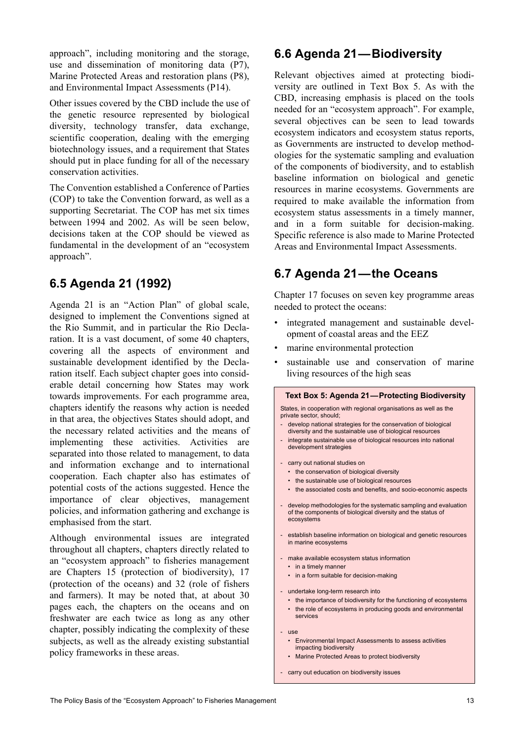approach", including monitoring and the storage, use and dissemination of monitoring data (P7), Marine Protected Areas and restoration plans (P8), and Environmental Impact Assessments (P14).

Other issues covered by the CBD include the use of the genetic resource represented by biological diversity, technology transfer, data exchange, scientific cooperation, dealing with the emerging biotechnology issues, and a requirement that States should put in place funding for all of the necessary conservation activities.

The Convention established a Conference of Parties (COP) to take the Convention forward, as well as a supporting Secretariat. The COP has met six times between 1994 and 2002. As will be seen below, decisions taken at the COP should be viewed as fundamental in the development of an "ecosystem approach".

## **6.5 Agenda 21 (1992)**

Agenda 21 is an "Action Plan" of global scale, designed to implement the Conventions signed at the Rio Summit, and in particular the Rio Declaration. It is a vast document, of some 40 chapters, covering all the aspects of environment and sustainable development identified by the Declaration itself. Each subject chapter goes into considerable detail concerning how States may work towards improvements. For each programme area, chapters identify the reasons why action is needed in that area, the objectives States should adopt, and the necessary related activities and the means of implementing these activities. Activities are separated into those related to management, to data and information exchange and to international cooperation. Each chapter also has estimates of potential costs of the actions suggested. Hence the importance of clear objectives, management policies, and information gathering and exchange is emphasised from the start.

Although environmental issues are integrated throughout all chapters, chapters directly related to an "ecosystem approach" to fisheries management are Chapters 15 (protection of biodiversity), 17 (protection of the oceans) and 32 (role of fishers and farmers). It may be noted that, at about 30 pages each, the chapters on the oceans and on freshwater are each twice as long as any other chapter, possibly indicating the complexity of these subjects, as well as the already existing substantial policy frameworks in these areas.

#### **6.6 Agenda 21—Biodiversity**

Relevant objectives aimed at protecting biodiversity are outlined in Text Box 5. As with the CBD, increasing emphasis is placed on the tools needed for an "ecosystem approach". For example, several objectives can be seen to lead towards ecosystem indicators and ecosystem status reports, as Governments are instructed to develop methodologies for the systematic sampling and evaluation of the components of biodiversity, and to establish baseline information on biological and genetic resources in marine ecosystems. Governments are required to make available the information from ecosystem status assessments in a timely manner, and in a form suitable for decision-making. Specific reference is also made to Marine Protected Areas and Environmental Impact Assessments.

## **6.7 Agenda 21—the Oceans**

Chapter 17 focuses on seven key programme areas needed to protect the oceans:

- integrated management and sustainable development of coastal areas and the EEZ
- marine environmental protection
- sustainable use and conservation of marine living resources of the high seas

| <b>Text Box 5: Agenda 21-Protecting Biodiversity</b>                                                                                            |  |
|-------------------------------------------------------------------------------------------------------------------------------------------------|--|
| States, in cooperation with regional organisations as well as the<br>private sector, should:                                                    |  |
| develop national strategies for the conservation of biological<br>diversity and the sustainable use of biological resources                     |  |
| integrate sustainable use of biological resources into national<br>$\overline{\phantom{a}}$<br>development strategies                           |  |
| carry out national studies on                                                                                                                   |  |
| the conservation of biological diversity<br>٠                                                                                                   |  |
| the sustainable use of biological resources                                                                                                     |  |
| the associated costs and benefits, and socio-economic aspects<br>$\bullet$                                                                      |  |
| - develop methodologies for the systematic sampling and evaluation<br>of the components of biological diversity and the status of<br>ecosystems |  |
| establish baseline information on biological and genetic resources<br>in marine ecosystems                                                      |  |
| make available ecosystem status information                                                                                                     |  |
| in a timely manner<br>٠                                                                                                                         |  |
| in a form suitable for decision-making                                                                                                          |  |
| undertake long-term research into                                                                                                               |  |
| the importance of biodiversity for the functioning of ecosystems                                                                                |  |
| the role of ecosystems in producing goods and environmental<br>٠<br>services                                                                    |  |
| <b>use</b>                                                                                                                                      |  |
| Environmental Impact Assessments to assess activities<br>impacting biodiversity                                                                 |  |
| Marine Protected Areas to protect biodiversity<br>٠                                                                                             |  |
|                                                                                                                                                 |  |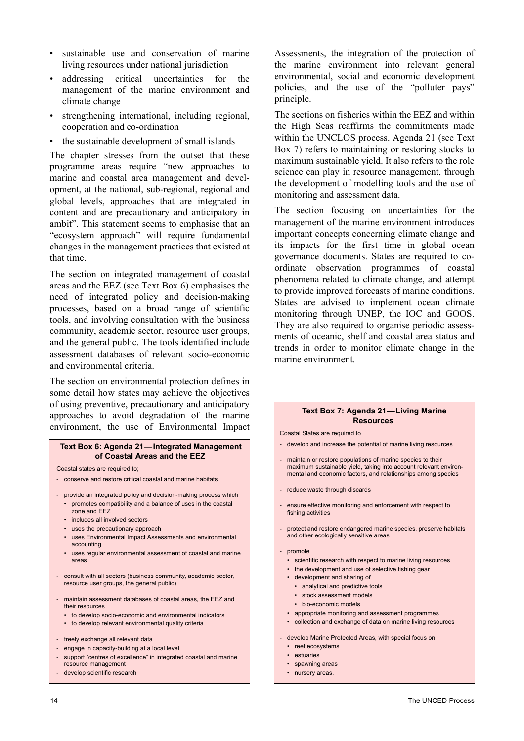- sustainable use and conservation of marine living resources under national jurisdiction
- addressing critical uncertainties for the management of the marine environment and climate change
- strengthening international, including regional, cooperation and co-ordination
- the sustainable development of small islands

The chapter stresses from the outset that these programme areas require "new approaches to marine and coastal area management and development, at the national, sub-regional, regional and global levels, approaches that are integrated in content and are precautionary and anticipatory in ambit". This statement seems to emphasise that an "ecosystem approach" will require fundamental changes in the management practices that existed at that time.

The section on integrated management of coastal areas and the EEZ (see Text Box 6) emphasises the need of integrated policy and decision-making processes, based on a broad range of scientific tools, and involving consultation with the business community, academic sector, resource user groups, and the general public. The tools identified include assessment databases of relevant socio-economic and environmental criteria.

The section on environmental protection defines in some detail how states may achieve the objectives of using preventive, precautionary and anticipatory approaches to avoid degradation of the marine environment, the use of Environmental Impact

#### **Text Box 6: Agenda 21—Integrated Management of Coastal Areas and the EEZ**

Coastal states are required to;

- conserve and restore critical coastal and marine habitats
- provide an integrated policy and decision-making process which • promotes compatibility and a balance of uses in the coastal zone and EEZ
	- includes all involved sectors
	- uses the precautionary approach
	- uses Environmental Impact Assessments and environmental accounting
	- uses regular environmental assessment of coastal and marine areas
- consult with all sectors (business community, academic sector, resource user groups, the general public)
- maintain assessment databases of coastal areas, the EEZ and their resources
	- to develop socio-economic and environmental indicators
	- to develop relevant environmental quality criteria
- freely exchange all relevant data
- engage in capacity-building at a local level
- support "centres of excellence" in integrated coastal and marine resource management
- develop scientific research

Assessments, the integration of the protection of the marine environment into relevant general environmental, social and economic development policies, and the use of the "polluter pays" principle.

The sections on fisheries within the EEZ and within the High Seas reaffirms the commitments made within the UNCLOS process. Agenda 21 (see Text Box 7) refers to maintaining or restoring stocks to maximum sustainable yield. It also refers to the role science can play in resource management, through the development of modelling tools and the use of monitoring and assessment data.

The section focusing on uncertainties for the management of the marine environment introduces important concepts concerning climate change and its impacts for the first time in global ocean governance documents. States are required to coordinate observation programmes of coastal phenomena related to climate change, and attempt to provide improved forecasts of marine conditions. States are advised to implement ocean climate monitoring through UNEP, the IOC and GOOS. They are also required to organise periodic assessments of oceanic, shelf and coastal area status and trends in order to monitor climate change in the marine environment.

#### **Text Box 7: Agenda 21—Living Marine Resources**

Coastal States are required to

- develop and increase the potential of marine living resources
- maintain or restore populations of marine species to their maximum sustainable yield, taking into account relevant environmental and economic factors, and relationships among species
- reduce waste through discards
- ensure effective monitoring and enforcement with respect to fishing activities
- protect and restore endangered marine species, preserve habitats and other ecologically sensitive areas
- promote
	- scientific research with respect to marine living resources
	- the development and use of selective fishing gear
	- development and sharing of
		- analytical and predictive tools
		- stock assessment models
		- bio-economic models
	- appropriate monitoring and assessment programmes
	- collection and exchange of data on marine living resources
- develop Marine Protected Areas, with special focus on
	- reef ecosystems
	- estuaries
	- spawning areas
	- nursery areas.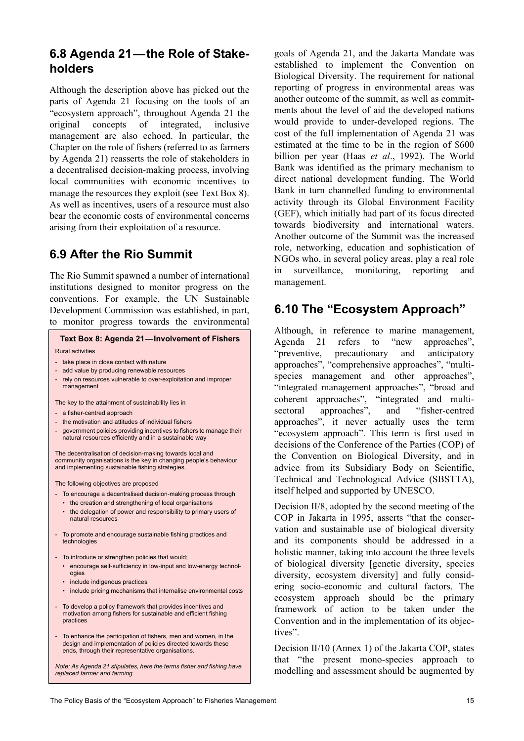### **6.8 Agenda 21—the Role of Stakeholders**

Although the description above has picked out the parts of Agenda 21 focusing on the tools of an "ecosystem approach", throughout Agenda 21 the original concepts of integrated, inclusive management are also echoed. In particular, the Chapter on the role of fishers (referred to as farmers by Agenda 21) reasserts the role of stakeholders in a decentralised decision-making process, involving local communities with economic incentives to manage the resources they exploit (see Text Box 8). As well as incentives, users of a resource must also bear the economic costs of environmental concerns arising from their exploitation of a resource.

### **6.9 After the Rio Summit**

The Rio Summit spawned a number of international institutions designed to monitor progress on the conventions. For example, the UN Sustainable Development Commission was established, in part, to monitor progress towards the environmental

#### **Text Box 8: Agenda 21—Involvement of Fishers**

#### Rural activities

- take place in close contact with nature
- add value by producing renewable resources
- rely on resources vulnerable to over-exploitation and improper management

The key to the attainment of sustainability lies in

- a fisher-centred approach
- the motivation and attitudes of individual fishers
- government policies providing incentives to fishers to manage their natural resources efficiently and in a sustainable way

The decentralisation of decision-making towards local and community organisations is the key in changing people's behaviour and implementing sustainable fishing strategies.

The following objectives are proposed

- To encourage a decentralised decision-making process through • the creation and strengthening of local organisations
	- the delegation of power and responsibility to primary users of natural resources
- To promote and encourage sustainable fishing practices and technologies
- To introduce or strengthen policies that would;
- encourage self-sufficiency in low-input and low-energy technologies
- include indigenous practices
- include pricing mechanisms that internalise environmental costs
- To develop a policy framework that provides incentives and motivation among fishers for sustainable and efficient fishing practices
- To enhance the participation of fishers, men and women, in the design and implementation of policies directed towards these ends, through their representative organisations.

*Note: As Agenda 21 stipulates, here the terms fisher and fishing have replaced farmer and farming*

goals of Agenda 21, and the Jakarta Mandate was established to implement the Convention on Biological Diversity. The requirement for national reporting of progress in environmental areas was another outcome of the summit, as well as commitments about the level of aid the developed nations would provide to under-developed regions. The cost of the full implementation of Agenda 21 was estimated at the time to be in the region of \$600 billion per year (Haas *et al*., 1992). The World Bank was identified as the primary mechanism to direct national development funding. The World Bank in turn channelled funding to environmental activity through its Global Environment Facility (GEF), which initially had part of its focus directed towards biodiversity and international waters. Another outcome of the Summit was the increased role, networking, education and sophistication of NGOs who, in several policy areas, play a real role in surveillance, monitoring, reporting and management.

### **6.10 The "Ecosystem Approach"**

Although, in reference to marine management, Agenda 21 refers to "new approaches", "preventive, precautionary and anticipatory approaches", "comprehensive approaches", "multispecies management and other approaches", "integrated management approaches", "broad and coherent approaches", "integrated and multisectoral approaches", and "fisher-centred approaches", it never actually uses the term "ecosystem approach". This term is first used in decisions of the Conference of the Parties (COP) of the Convention on Biological Diversity, and in advice from its Subsidiary Body on Scientific, Technical and Technological Advice (SBSTTA), itself helped and supported by UNESCO.

Decision II/8, adopted by the second meeting of the COP in Jakarta in 1995, asserts "that the conservation and sustainable use of biological diversity and its components should be addressed in a holistic manner, taking into account the three levels of biological diversity [genetic diversity, species diversity, ecosystem diversity] and fully considering socio-economic and cultural factors. The ecosystem approach should be the primary framework of action to be taken under the Convention and in the implementation of its objectives".

Decision II/10 (Annex 1) of the Jakarta COP, states that "the present mono-species approach to modelling and assessment should be augmented by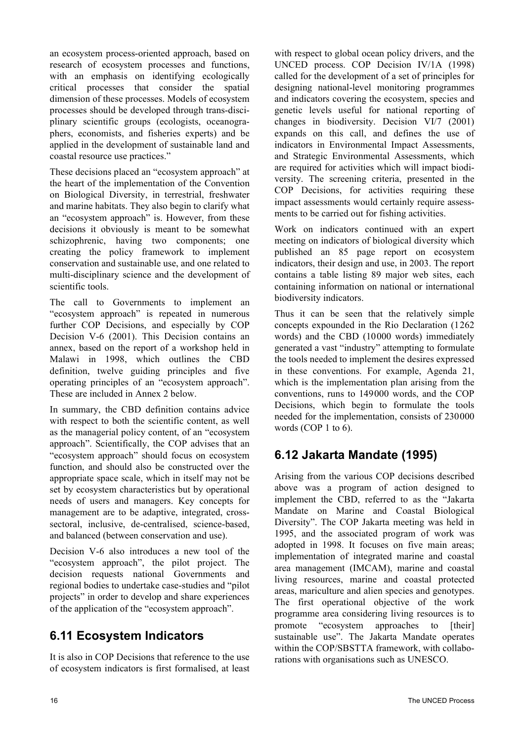an ecosystem process-oriented approach, based on research of ecosystem processes and functions, with an emphasis on identifying ecologically critical processes that consider the spatial dimension of these processes. Models of ecosystem processes should be developed through trans-disciplinary scientific groups (ecologists, oceanographers, economists, and fisheries experts) and be applied in the development of sustainable land and coastal resource use practices."

These decisions placed an "ecosystem approach" at the heart of the implementation of the Convention on Biological Diversity, in terrestrial, freshwater and marine habitats. They also begin to clarify what an "ecosystem approach" is. However, from these decisions it obviously is meant to be somewhat schizophrenic, having two components; one creating the policy framework to implement conservation and sustainable use, and one related to multi-disciplinary science and the development of scientific tools.

The call to Governments to implement an "ecosystem approach" is repeated in numerous further COP Decisions, and especially by COP Decision V-6 (2001). This Decision contains an annex, based on the report of a workshop held in Malawi in 1998, which outlines the CBD definition, twelve guiding principles and five operating principles of an "ecosystem approach". These are included in Annex 2 below.

In summary, the CBD definition contains advice with respect to both the scientific content, as well as the managerial policy content, of an "ecosystem approach". Scientifically, the COP advises that an "ecosystem approach" should focus on ecosystem function, and should also be constructed over the appropriate space scale, which in itself may not be set by ecosystem characteristics but by operational needs of users and managers. Key concepts for management are to be adaptive, integrated, crosssectoral, inclusive, de-centralised, science-based, and balanced (between conservation and use).

Decision V-6 also introduces a new tool of the "ecosystem approach", the pilot project. The decision requests national Governments and regional bodies to undertake case-studies and "pilot projects" in order to develop and share experiences of the application of the "ecosystem approach".

## **6.11 Ecosystem Indicators**

It is also in COP Decisions that reference to the use of ecosystem indicators is first formalised, at least with respect to global ocean policy drivers, and the UNCED process. COP Decision IV/1A (1998) called for the development of a set of principles for designing national-level monitoring programmes and indicators covering the ecosystem, species and genetic levels useful for national reporting of changes in biodiversity. Decision VI/7 (2001) expands on this call, and defines the use of indicators in Environmental Impact Assessments, and Strategic Environmental Assessments, which are required for activities which will impact biodiversity. The screening criteria, presented in the COP Decisions, for activities requiring these impact assessments would certainly require assessments to be carried out for fishing activities.

Work on indicators continued with an expert meeting on indicators of biological diversity which published an 85 page report on ecosystem indicators, their design and use, in 2003. The report contains a table listing 89 major web sites, each containing information on national or international biodiversity indicators.

Thus it can be seen that the relatively simple concepts expounded in the Rio Declaration (1262 words) and the CBD (10000 words) immediately generated a vast "industry" attempting to formulate the tools needed to implement the desires expressed in these conventions. For example, Agenda 21, which is the implementation plan arising from the conventions, runs to 149000 words, and the COP Decisions, which begin to formulate the tools needed for the implementation, consists of 230000 words (COP 1 to 6).

## **6.12 Jakarta Mandate (1995)**

Arising from the various COP decisions described above was a program of action designed to implement the CBD, referred to as the "Jakarta Mandate on Marine and Coastal Biological Diversity". The COP Jakarta meeting was held in 1995, and the associated program of work was adopted in 1998. It focuses on five main areas; implementation of integrated marine and coastal area management (IMCAM), marine and coastal living resources, marine and coastal protected areas, mariculture and alien species and genotypes. The first operational objective of the work programme area considering living resources is to promote "ecosystem approaches to [their] sustainable use". The Jakarta Mandate operates within the COP/SBSTTA framework, with collaborations with organisations such as UNESCO.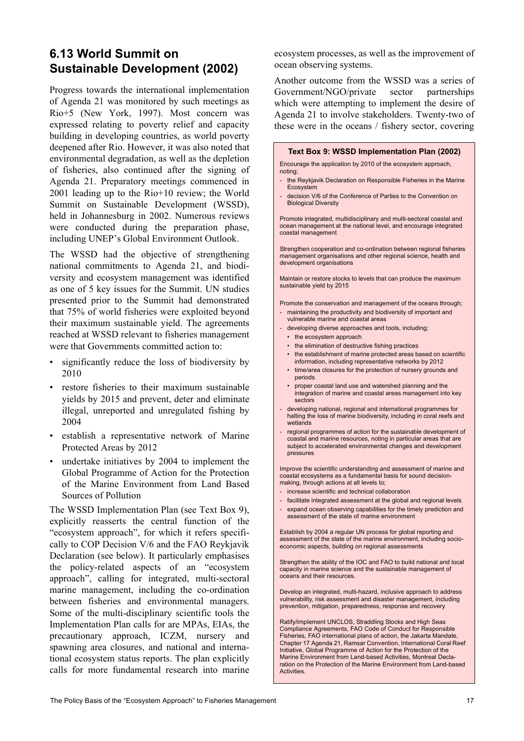### **6.13 World Summit on Sustainable Development (2002)**

Progress towards the international implementation of Agenda 21 was monitored by such meetings as Rio+5 (New York, 1997). Most concern was expressed relating to poverty relief and capacity building in developing countries, as world poverty deepened after Rio. However, it was also noted that environmental degradation, as well as the depletion of fisheries, also continued after the signing of Agenda 21. Preparatory meetings commenced in 2001 leading up to the Rio+10 review; the World Summit on Sustainable Development (WSSD), held in Johannesburg in 2002. Numerous reviews were conducted during the preparation phase, including UNEP's Global Environment Outlook.

The WSSD had the objective of strengthening national commitments to Agenda 21, and biodiversity and ecosystem management was identified as one of 5 key issues for the Summit. UN studies presented prior to the Summit had demonstrated that 75% of world fisheries were exploited beyond their maximum sustainable yield. The agreements reached at WSSD relevant to fisheries management were that Governments committed action to:

- significantly reduce the loss of biodiversity by 2010
- restore fisheries to their maximum sustainable yields by 2015 and prevent, deter and eliminate illegal, unreported and unregulated fishing by 2004
- establish a representative network of Marine Protected Areas by 2012
- undertake initiatives by 2004 to implement the Global Programme of Action for the Protection of the Marine Environment from Land Based Sources of Pollution

The WSSD Implementation Plan (see Text Box 9), explicitly reasserts the central function of the "ecosystem approach", for which it refers specifically to COP Decision V/6 and the FAO Reykjavik Declaration (see below). It particularly emphasises the policy-related aspects of an "ecosystem approach", calling for integrated, multi-sectoral marine management, including the co-ordination between fisheries and environmental managers. Some of the multi-disciplinary scientific tools the Implementation Plan calls for are MPAs, EIAs, the precautionary approach, ICZM, nursery and spawning area closures, and national and international ecosystem status reports. The plan explicitly calls for more fundamental research into marine ecosystem processes, as well as the improvement of ocean observing systems.

Another outcome from the WSSD was a series of Government/NGO/private sector partnerships which were attempting to implement the desire of Agenda 21 to involve stakeholders. Twenty-two of these were in the oceans / fishery sector, covering

 **Text Box 9: WSSD Implementation Plan (2002)**

#### Encourage the application by 2010 of the ecosystem approach, noting; the Reykjavik Declaration on Responsible Fisheries in the Marine Ecosystem - decision V/6 of the Conference of Parties to the Convention on Biological Diversity Promote integrated, multidisciplinary and multi-sectoral coastal and ocean management at the national level, and encourage integrated coastal management Strengthen cooperation and co-ordination between regional fisheries management organisations and other regional science, health and development organisations Maintain or restore stocks to levels that can produce the maximum sustainable yield by 2015 Promote the conservation and management of the oceans through; - maintaining the productivity and biodiversity of important and vulnerable marine and coastal areas - developing diverse approaches and tools, including; • the ecosystem approach • the elimination of destructive fishing practices • the establishment of marine protected areas based on scientific information, including representative networks by 2012 • time/area closures for the protection of nursery grounds and periods • proper coastal land use and watershed planning and the integration of marine and coastal areas management into key sectors developing national, regional and international programmes for halting the loss of marine biodiversity, including in coral reefs and wetlands regional programmes of action for the sustainable development of coastal and marine resources, noting in particular areas that are subject to accelerated environmental changes and development pressures Improve the scientific understanding and assessment of marine and coastal ecosystems as a fundamental basis for sound decisionmaking, through actions at all levels to; - increase scientific and technical collaboration - facilitate integrated assessment at the global and regional levels - expand ocean observing capabilities for the timely prediction and assessment of the state of marine environment

Establish by 2004 a regular UN process for global reporting and assessment of the state of the marine environment, including socioeconomic aspects, building on regional assessments

Strengthen the ability of the IOC and FAO to build national and local capacity in marine science and the sustainable management of oceans and their resources.

Develop an integrated, multi-hazard, inclusive approach to address vulnerability, risk assessment and disaster management, including prevention, mitigation, preparedness, response and recovery

Ratify/implement UNCLOS, Straddling Stocks and High Seas Compliance Agreements, FAO Code of Conduct for Responsible Fisheries, FAO international plans of action, the Jakarta Mandate, Chapter 17 Agenda 21, Ramsar Convention, International Coral Reef Initiative, Global Programme of Action for the Protection of the Marine Environment from Land-based Activities, Montreal Declaration on the Protection of the Marine Environment from Land-based **Activities**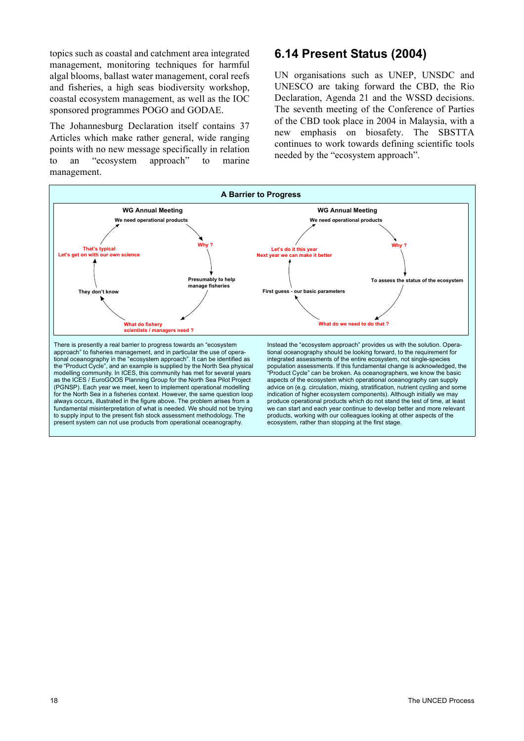topics such as coastal and catchment area integrated management, monitoring techniques for harmful algal blooms, ballast water management, coral reefs and fisheries, a high seas biodiversity workshop, coastal ecosystem management, as well as the IOC sponsored programmes POGO and GODAE.

The Johannesburg Declaration itself contains 37 Articles which make rather general, wide ranging points with no new message specifically in relation to an "ecosystem approach" to marine management.

#### **6.14 Present Status (2004)**

UN organisations such as UNEP, UNSDC and UNESCO are taking forward the CBD, the Rio Declaration, Agenda 21 and the WSSD decisions. The seventh meeting of the Conference of Parties of the CBD took place in 2004 in Malaysia, with a new emphasis on biosafety. The SBSTTA continues to work towards defining scientific tools needed by the "ecosystem approach".

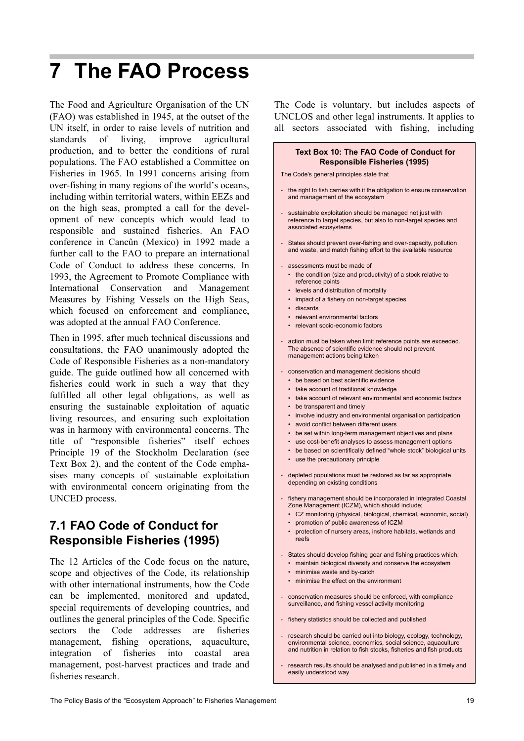## **7 The FAO Process**

The Food and Agriculture Organisation of the UN (FAO) was established in 1945, at the outset of the UN itself, in order to raise levels of nutrition and standards of living, improve agricultural production, and to better the conditions of rural populations. The FAO established a Committee on Fisheries in 1965. In 1991 concerns arising from over-fishing in many regions of the world's oceans, including within territorial waters, within EEZs and on the high seas, prompted a call for the development of new concepts which would lead to responsible and sustained fisheries. An FAO conference in Cancûn (Mexico) in 1992 made a further call to the FAO to prepare an international Code of Conduct to address these concerns. In 1993, the Agreement to Promote Compliance with International Conservation and Management Measures by Fishing Vessels on the High Seas, which focused on enforcement and compliance, was adopted at the annual FAO Conference.

Then in 1995, after much technical discussions and consultations, the FAO unanimously adopted the Code of Responsible Fisheries as a non-mandatory guide. The guide outlined how all concerned with fisheries could work in such a way that they fulfilled all other legal obligations, as well as ensuring the sustainable exploitation of aquatic living resources, and ensuring such exploitation was in harmony with environmental concerns. The title of "responsible fisheries" itself echoes Principle 19 of the Stockholm Declaration (see Text Box 2), and the content of the Code emphasises many concepts of sustainable exploitation with environmental concern originating from the UNCED process.

### **7.1 FAO Code of Conduct for Responsible Fisheries (1995)**

The 12 Articles of the Code focus on the nature, scope and objectives of the Code, its relationship with other international instruments, how the Code can be implemented, monitored and updated, special requirements of developing countries, and outlines the general principles of the Code. Specific sectors the Code addresses are fisheries management, fishing operations, aquaculture, integration of fisheries into coastal area management, post-harvest practices and trade and fisheries research.

The Code is voluntary, but includes aspects of UNCLOS and other legal instruments. It applies to all sectors associated with fishing, including

#### **Text Box 10: The FAO Code of Conduct for Responsible Fisheries (1995)**

The Code's general principles state that

- the right to fish carries with it the obligation to ensure conservation and management of the ecosystem
- sustainable exploitation should be managed not just with reference to target species, but also to non-target species and associated ecosystems
- States should prevent over-fishing and over-capacity, pollution and waste, and match fishing effort to the available resource
- assessments must be made of
	- the condition (size and productivity) of a stock relative to reference points
	- levels and distribution of mortality
	- impact of a fishery on non-target species
	- discards
	- relevant environmental factors
	- relevant socio-economic factors
- action must be taken when limit reference points are exceeded. The absence of scientific evidence should not prevent management actions being taken
- conservation and management decisions should
	- be based on best scientific evidence
	- take account of traditional knowledge
	- take account of relevant environmental and economic factors
	- be transparent and timely
	- involve industry and environmental organisation participation
	- avoid conflict between different users
	- be set within long-term management objectives and plans
	- use cost-benefit analyses to assess management options
	- be based on scientifically defined "whole stock" biological units
	- use the precautionary principle
- depleted populations must be restored as far as appropriate depending on existing conditions
	- fishery management should be incorporated in Integrated Coastal
	- Zone Management (ICZM), which should include;
	- CZ monitoring (physical, biological, chemical, economic, social)
	- promotion of public awareness of ICZM
	- protection of nursery areas, inshore habitats, wetlands and reefs
- States should develop fishing gear and fishing practices which;
	- maintain biological diversity and conserve the ecosystem
	- minimise waste and by-catch
	- minimise the effect on the environment
- conservation measures should be enforced, with compliance surveillance, and fishing vessel activity monitoring
- fishery statistics should be collected and published
- research should be carried out into biology, ecology, technology, environmental science, economics, social science, aquaculture and nutrition in relation to fish stocks, fisheries and fish products
- research results should be analysed and published in a timely and easily understood way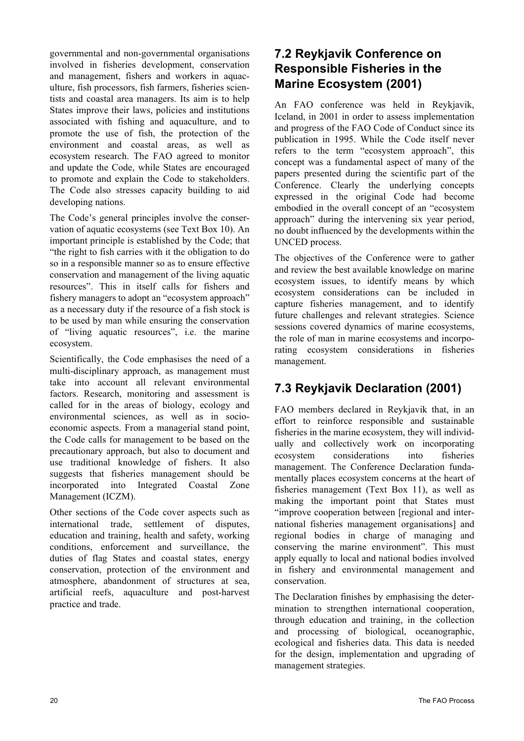governmental and non-governmental organisations involved in fisheries development, conservation and management, fishers and workers in aquaculture, fish processors, fish farmers, fisheries scientists and coastal area managers. Its aim is to help States improve their laws, policies and institutions associated with fishing and aquaculture, and to promote the use of fish, the protection of the environment and coastal areas, as well as ecosystem research. The FAO agreed to monitor and update the Code, while States are encouraged to promote and explain the Code to stakeholders. The Code also stresses capacity building to aid developing nations.

The Code's general principles involve the conservation of aquatic ecosystems (see Text Box 10). An important principle is established by the Code; that "the right to fish carries with it the obligation to do so in a responsible manner so as to ensure effective conservation and management of the living aquatic resources". This in itself calls for fishers and fishery managers to adopt an "ecosystem approach" as a necessary duty if the resource of a fish stock is to be used by man while ensuring the conservation of "living aquatic resources", i.e. the marine ecosystem.

Scientifically, the Code emphasises the need of a multi-disciplinary approach, as management must take into account all relevant environmental factors. Research, monitoring and assessment is called for in the areas of biology, ecology and environmental sciences, as well as in socioeconomic aspects. From a managerial stand point, the Code calls for management to be based on the precautionary approach, but also to document and use traditional knowledge of fishers. It also suggests that fisheries management should be incorporated into Integrated Coastal Zone Management (ICZM).

Other sections of the Code cover aspects such as international trade, settlement of disputes, education and training, health and safety, working conditions, enforcement and surveillance, the duties of flag States and coastal states, energy conservation, protection of the environment and atmosphere, abandonment of structures at sea, artificial reefs, aquaculture and post-harvest practice and trade.

### **7.2 Reykjavik Conference on Responsible Fisheries in the Marine Ecosystem (2001)**

An FAO conference was held in Reykjavik, Iceland, in 2001 in order to assess implementation and progress of the FAO Code of Conduct since its publication in 1995. While the Code itself never refers to the term "ecosystem approach", this concept was a fundamental aspect of many of the papers presented during the scientific part of the Conference. Clearly the underlying concepts expressed in the original Code had become embodied in the overall concept of an "ecosystem approach" during the intervening six year period, no doubt influenced by the developments within the UNCED process.

The objectives of the Conference were to gather and review the best available knowledge on marine ecosystem issues, to identify means by which ecosystem considerations can be included in capture fisheries management, and to identify future challenges and relevant strategies. Science sessions covered dynamics of marine ecosystems, the role of man in marine ecosystems and incorporating ecosystem considerations in fisheries management.

## **7.3 Reykjavik Declaration (2001)**

FAO members declared in Reykjavik that, in an effort to reinforce responsible and sustainable fisheries in the marine ecosystem, they will individually and collectively work on incorporating ecosystem considerations into fisheries management. The Conference Declaration fundamentally places ecosystem concerns at the heart of fisheries management (Text Box 11), as well as making the important point that States must "improve cooperation between [regional and international fisheries management organisations] and regional bodies in charge of managing and conserving the marine environment". This must apply equally to local and national bodies involved in fishery and environmental management and conservation.

The Declaration finishes by emphasising the determination to strengthen international cooperation, through education and training, in the collection and processing of biological, oceanographic, ecological and fisheries data. This data is needed for the design, implementation and upgrading of management strategies.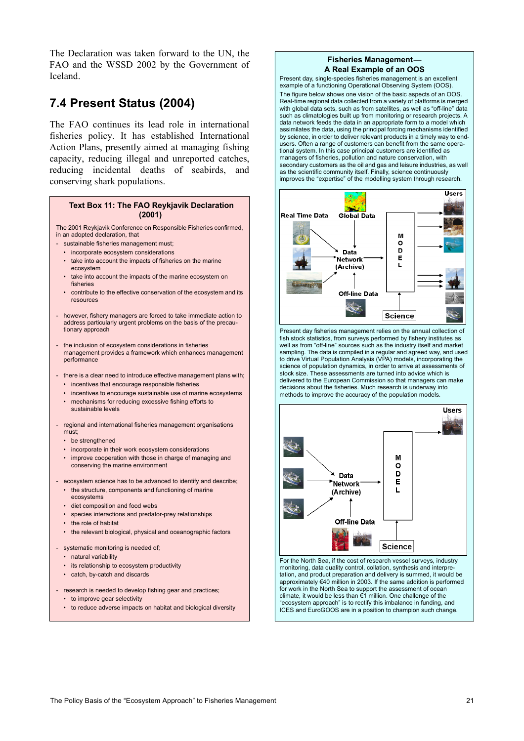The Declaration was taken forward to the UN, the FAO and the WSSD 2002 by the Government of Iceland.

### **7.4 Present Status (2004)**

The FAO continues its lead role in international fisheries policy. It has established International Action Plans, presently aimed at managing fishing capacity, reducing illegal and unreported catches, reducing incidental deaths of seabirds, and conserving shark populations.

#### **Text Box 11: The FAO Reykjavik Declaration (2001)**

The 2001 Reykjavik Conference on Responsible Fisheries confirmed, in an adopted declaration, that

- sustainable fisheries management must;
	- incorporate ecosystem considerations
	- take into account the impacts of fisheries on the marine ecosystem
	- take into account the impacts of the marine ecosystem on fisheries
	- contribute to the effective conservation of the ecosystem and its resources
- however, fishery managers are forced to take immediate action to address particularly urgent problems on the basis of the precautionary approach
- the inclusion of ecosystem considerations in fisheries management provides a framework which enhances management performance
- there is a clear need to introduce effective management plans with: • incentives that encourage responsible fisheries
	- incentives to encourage sustainable use of marine ecosystems
	- mechanisms for reducing excessive fishing efforts to sustainable levels
- regional and international fisheries management organisations must;
	- be strengthened
	- incorporate in their work ecosystem considerations
- improve cooperation with those in charge of managing and conserving the marine environment
- ecosystem science has to be advanced to identify and describe;
	- the structure, components and functioning of marine ecosystems
	- diet composition and food webs
	- species interactions and predator-prey relationships
	- the role of habitat
	- the relevant biological, physical and oceanographic factors
- systematic monitoring is needed of;
	- natural variability
	- its relationship to ecosystem productivity
	- catch, by-catch and discards
- research is needed to develop fishing gear and practices;
	- to improve gear selectivity
	- to reduce adverse impacts on habitat and biological diversity

#### **Fisheries Management— A Real Example of an OOS**

Present day, single-species fisheries management is an excellent example of a functioning Operational Observing System (OOS). The figure below shows one vision of the basic aspects of an OOS. Real-time regional data collected from a variety of platforms is merged with global data sets, such as from satellites, as well as "off-line" data such as climatologies built up from monitoring or research projects. A data network feeds the data in an appropriate form to a model which assimilates the data, using the principal forcing mechanisms identified by science, in order to deliver relevant products in a timely way to endusers. Often a range of customers can benefit from the same operational system. In this case principal customers are identified as managers of fisheries, pollution and nature conservation, with secondary customers as the oil and gas and leisure industries, as well as the scientific community itself. Finally, science continuously improves the "expertise" of the modelling system through research.



Present day fisheries management relies on the annual collection of fish stock statistics, from surveys performed by fishery institutes as well as from "off-line" sources such as the industry itself and market sampling. The data is compiled in a regular and agreed way, and used to drive Virtual Population Analysis (VPA) models, incorporating the science of population dynamics, in order to arrive at assessments of stock size. These assessments are turned into advice which is delivered to the European Commission so that managers can make decisions about the fisheries. Much research is underway into methods to improve the accuracy of the population models.



For the North Sea, if the cost of research vessel surveys, industry monitoring, data quality control, collation, synthesis and interpretation, and product preparation and delivery is summed, it would be approximately €40 million in 2003. If the same addition is performed for work in the North Sea to support the assessment of ocean climate, it would be less than €1 million. One challenge of the "ecosystem approach" is to rectify this imbalance in funding, and ICES and EuroGOOS are in a position to champion such change.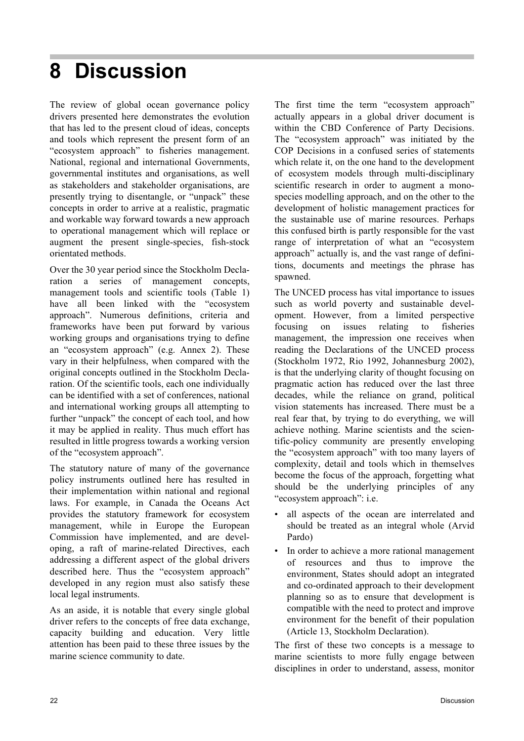## **8 Discussion**

The review of global ocean governance policy drivers presented here demonstrates the evolution that has led to the present cloud of ideas, concepts and tools which represent the present form of an "ecosystem approach" to fisheries management. National, regional and international Governments, governmental institutes and organisations, as well as stakeholders and stakeholder organisations, are presently trying to disentangle, or "unpack" these concepts in order to arrive at a realistic, pragmatic and workable way forward towards a new approach to operational management which will replace or augment the present single-species, fish-stock orientated methods.

Over the 30 year period since the Stockholm Declaration a series of management concepts, management tools and scientific tools (Table 1) have all been linked with the "ecosystem approach". Numerous definitions, criteria and frameworks have been put forward by various working groups and organisations trying to define an "ecosystem approach" (e.g. Annex 2). These vary in their helpfulness, when compared with the original concepts outlined in the Stockholm Declaration. Of the scientific tools, each one individually can be identified with a set of conferences, national and international working groups all attempting to further "unpack" the concept of each tool, and how it may be applied in reality. Thus much effort has resulted in little progress towards a working version of the "ecosystem approach".

The statutory nature of many of the governance policy instruments outlined here has resulted in their implementation within national and regional laws. For example, in Canada the Oceans Act provides the statutory framework for ecosystem management, while in Europe the European Commission have implemented, and are developing, a raft of marine-related Directives, each addressing a different aspect of the global drivers described here. Thus the "ecosystem approach" developed in any region must also satisfy these local legal instruments.

As an aside, it is notable that every single global driver refers to the concepts of free data exchange, capacity building and education. Very little attention has been paid to these three issues by the marine science community to date.

The first time the term "ecosystem approach" actually appears in a global driver document is within the CBD Conference of Party Decisions. The "ecosystem approach" was initiated by the COP Decisions in a confused series of statements which relate it, on the one hand to the development of ecosystem models through multi-disciplinary scientific research in order to augment a monospecies modelling approach, and on the other to the development of holistic management practices for the sustainable use of marine resources. Perhaps this confused birth is partly responsible for the vast range of interpretation of what an "ecosystem approach" actually is, and the vast range of definitions, documents and meetings the phrase has spawned.

The UNCED process has vital importance to issues such as world poverty and sustainable development. However, from a limited perspective focusing on issues relating to fisheries management, the impression one receives when reading the Declarations of the UNCED process (Stockholm 1972, Rio 1992, Johannesburg 2002), is that the underlying clarity of thought focusing on pragmatic action has reduced over the last three decades, while the reliance on grand, political vision statements has increased. There must be a real fear that, by trying to do everything, we will achieve nothing. Marine scientists and the scientific-policy community are presently enveloping the "ecosystem approach" with too many layers of complexity, detail and tools which in themselves become the focus of the approach, forgetting what should be the underlying principles of any "ecosystem approach": i.e.

- all aspects of the ocean are interrelated and should be treated as an integral whole (Arvid Pardo)
- In order to achieve a more rational management of resources and thus to improve the environment, States should adopt an integrated and co-ordinated approach to their development planning so as to ensure that development is compatible with the need to protect and improve environment for the benefit of their population (Article 13, Stockholm Declaration).

The first of these two concepts is a message to marine scientists to more fully engage between disciplines in order to understand, assess, monitor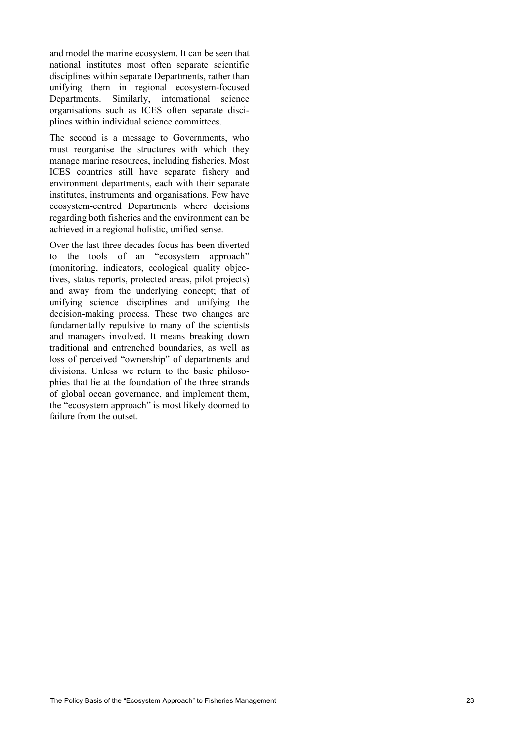and model the marine ecosystem. It can be seen that national institutes most often separate scientific disciplines within separate Departments, rather than unifying them in regional ecosystem-focused Departments. Similarly, international science organisations such as ICES often separate disciplines within individual science committees.

The second is a message to Governments, who must reorganise the structures with which they manage marine resources, including fisheries. Most ICES countries still have separate fishery and environment departments, each with their separate institutes, instruments and organisations. Few have ecosystem-centred Departments where decisions regarding both fisheries and the environment can be achieved in a regional holistic, unified sense.

Over the last three decades focus has been diverted to the tools of an "ecosystem approach" (monitoring, indicators, ecological quality objectives, status reports, protected areas, pilot projects) and away from the underlying concept; that of unifying science disciplines and unifying the decision-making process. These two changes are fundamentally repulsive to many of the scientists and managers involved. It means breaking down traditional and entrenched boundaries, as well as loss of perceived "ownership" of departments and divisions. Unless we return to the basic philosophies that lie at the foundation of the three strands of global ocean governance, and implement them, the "ecosystem approach" is most likely doomed to failure from the outset.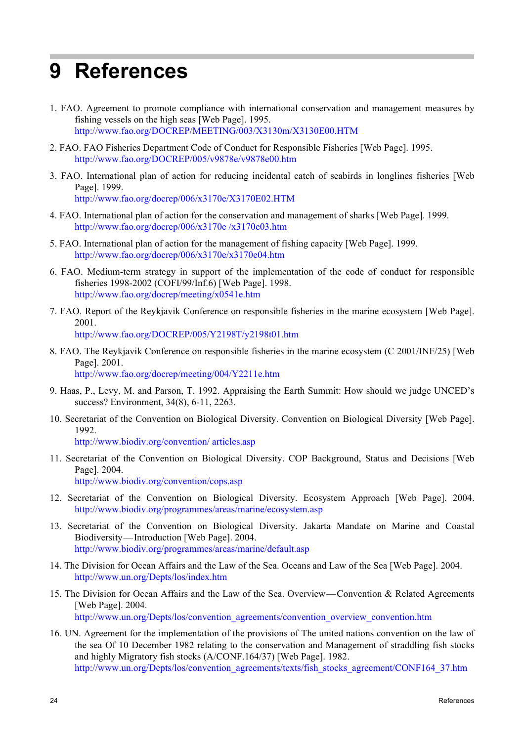## **9 References**

- 1. FAO. Agreement to promote compliance with international conservation and management measures by fishing vessels on the high seas [Web Page]. 1995. http://www.fao.org/DOCREP/MEETING/003/X3130m/X3130E00.HTM
- 2. FAO. FAO Fisheries Department Code of Conduct for Responsible Fisheries [Web Page]. 1995. http://www.fao.org/DOCREP/005/v9878e/v9878e00.htm
- 3. FAO. International plan of action for reducing incidental catch of seabirds in longlines fisheries [Web Page]. 1999.

http://www.fao.org/docrep/006/x3170e/X3170E02.HTM

- 4. FAO. International plan of action for the conservation and management of sharks [Web Page]. 1999. http://www.fao.org/docrep/006/x3170e /x3170e03.htm
- 5. FAO. International plan of action for the management of fishing capacity [Web Page]. 1999. http://www.fao.org/docrep/006/x3170e/x3170e04.htm
- 6. FAO. Medium-term strategy in support of the implementation of the code of conduct for responsible fisheries 1998-2002 (COFI/99/Inf.6) [Web Page]. 1998. http://www.fao.org/docrep/meeting/x0541e.htm
- 7. FAO. Report of the Reykjavik Conference on responsible fisheries in the marine ecosystem [Web Page]. 2001. http://www.fao.org/DOCREP/005/Y2198T/y2198t01.htm
- 8. FAO. The Reykjavik Conference on responsible fisheries in the marine ecosystem (C 2001/INF/25) [Web Page]. 2001.

http://www.fao.org/docrep/meeting/004/Y2211e.htm

- 9. Haas, P., Levy, M. and Parson, T. 1992. Appraising the Earth Summit: How should we judge UNCED's success? Environment, 34(8), 6-11, 2263.
- 10. Secretariat of the Convention on Biological Diversity. Convention on Biological Diversity [Web Page]. 1992.

http://www.biodiv.org/convention/ articles.asp

- 11. Secretariat of the Convention on Biological Diversity. COP Background, Status and Decisions [Web Page]. 2004. http://www.biodiv.org/convention/cops.asp
- 12. Secretariat of the Convention on Biological Diversity. Ecosystem Approach [Web Page]. 2004. http://www.biodiv.org/programmes/areas/marine/ecosystem.asp
- 13. Secretariat of the Convention on Biological Diversity. Jakarta Mandate on Marine and Coastal Biodiversity—Introduction [Web Page]. 2004. http://www.biodiv.org/programmes/areas/marine/default.asp
- 14. The Division for Ocean Affairs and the Law of the Sea. Oceans and Law of the Sea [Web Page]. 2004. http://www.un.org/Depts/los/index.htm
- 15. The Division for Ocean Affairs and the Law of the Sea. Overview—Convention & Related Agreements [Web Page]. 2004.

http://www.un.org/Depts/los/convention\_agreements/convention\_overview\_convention.htm

16. UN. Agreement for the implementation of the provisions of The united nations convention on the law of the sea Of 10 December 1982 relating to the conservation and Management of straddling fish stocks and highly Migratory fish stocks (A/CONF.164/37) [Web Page]. 1982. http://www.un.org/Depts/los/convention\_agreements/texts/fish\_stocks\_agreement/CONF164\_37.htm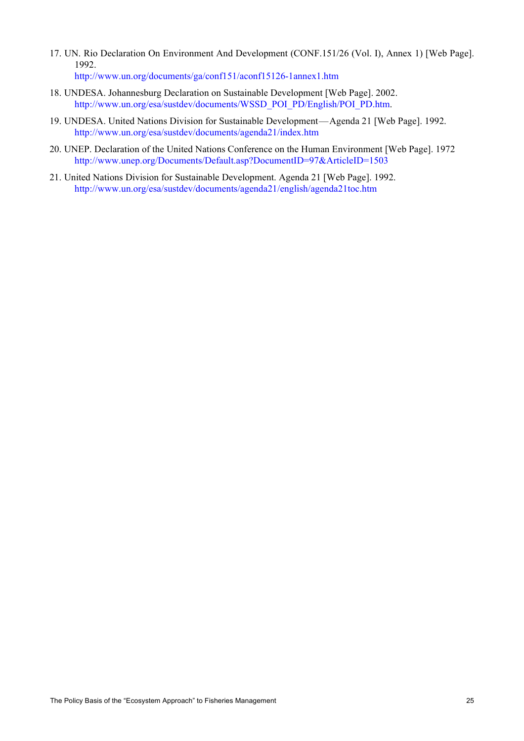- 17. UN. Rio Declaration On Environment And Development (CONF.151/26 (Vol. I), Annex 1) [Web Page]. 1992. http://www.un.org/documents/ga/conf151/aconf15126-1annex1.htm
	-
- 18. UNDESA. Johannesburg Declaration on Sustainable Development [Web Page]. 2002. http://www.un.org/esa/sustdev/documents/WSSD\_POI\_PD/English/POI\_PD.htm.
- 19. UNDESA. United Nations Division for Sustainable Development—Agenda 21 [Web Page]. 1992. http://www.un.org/esa/sustdev/documents/agenda21/index.htm
- 20. UNEP. Declaration of the United Nations Conference on the Human Environment [Web Page]. 1972 http://www.unep.org/Documents/Default.asp?DocumentID=97&ArticleID=1503
- 21. United Nations Division for Sustainable Development. Agenda 21 [Web Page]. 1992. http://www.un.org/esa/sustdev/documents/agenda21/english/agenda21toc.htm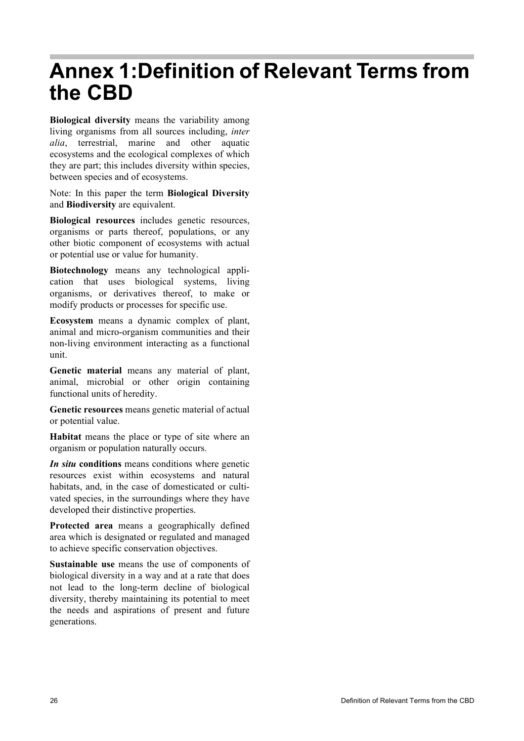## **Annex 1:Definition of Relevant Terms from the CBD**

**Biological diversity** means the variability among living organisms from all sources including, *inter alia*, terrestrial, marine and other aquatic ecosystems and the ecological complexes of which they are part; this includes diversity within species, between species and of ecosystems.

Note: In this paper the term **Biological Diversity** and **Biodiversity** are equivalent.

**Biological resources** includes genetic resources, organisms or parts thereof, populations, or any other biotic component of ecosystems with actual or potential use or value for humanity.

**Biotechnology** means any technological application that uses biological systems, living organisms, or derivatives thereof, to make or modify products or processes for specific use.

**Ecosystem** means a dynamic complex of plant, animal and micro-organism communities and their non-living environment interacting as a functional unit.

**Genetic material** means any material of plant, animal, microbial or other origin containing functional units of heredity.

**Genetic resources** means genetic material of actual or potential value.

**Habitat** means the place or type of site where an organism or population naturally occurs.

*In situ* **conditions** means conditions where genetic resources exist within ecosystems and natural habitats, and, in the case of domesticated or cultivated species, in the surroundings where they have developed their distinctive properties.

**Protected area** means a geographically defined area which is designated or regulated and managed to achieve specific conservation objectives.

**Sustainable use** means the use of components of biological diversity in a way and at a rate that does not lead to the long-term decline of biological diversity, thereby maintaining its potential to meet the needs and aspirations of present and future generations.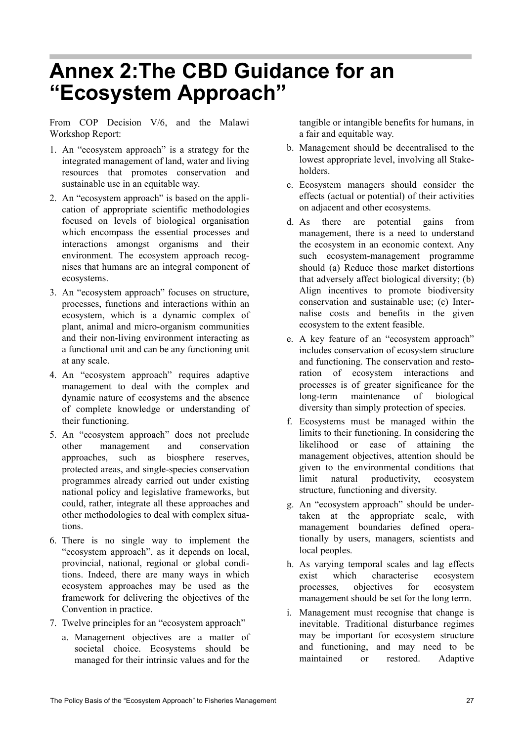## **Annex 2:The CBD Guidance for an "Ecosystem Approach"**

From COP Decision V/6, and the Malawi Workshop Report:

- 1. An "ecosystem approach" is a strategy for the integrated management of land, water and living resources that promotes conservation and sustainable use in an equitable way.
- 2. An "ecosystem approach" is based on the application of appropriate scientific methodologies focused on levels of biological organisation which encompass the essential processes and interactions amongst organisms and their environment. The ecosystem approach recognises that humans are an integral component of ecosystems.
- 3. An "ecosystem approach" focuses on structure, processes, functions and interactions within an ecosystem, which is a dynamic complex of plant, animal and micro-organism communities and their non-living environment interacting as a functional unit and can be any functioning unit at any scale.
- 4. An "ecosystem approach" requires adaptive management to deal with the complex and dynamic nature of ecosystems and the absence of complete knowledge or understanding of their functioning.
- 5. An "ecosystem approach" does not preclude other management and conservation approaches, such as biosphere reserves, protected areas, and single-species conservation programmes already carried out under existing national policy and legislative frameworks, but could, rather, integrate all these approaches and other methodologies to deal with complex situations.
- 6. There is no single way to implement the "ecosystem approach", as it depends on local, provincial, national, regional or global conditions. Indeed, there are many ways in which ecosystem approaches may be used as the framework for delivering the objectives of the Convention in practice.
- 7. Twelve principles for an "ecosystem approach"
	- a. Management objectives are a matter of societal choice. Ecosystems should be managed for their intrinsic values and for the

tangible or intangible benefits for humans, in a fair and equitable way.

- b. Management should be decentralised to the lowest appropriate level, involving all Stakeholders.
- c. Ecosystem managers should consider the effects (actual or potential) of their activities on adjacent and other ecosystems.
- d. As there are potential gains from management, there is a need to understand the ecosystem in an economic context. Any such ecosystem-management programme should (a) Reduce those market distortions that adversely affect biological diversity; (b) Align incentives to promote biodiversity conservation and sustainable use; (c) Internalise costs and benefits in the given ecosystem to the extent feasible.
- e. A key feature of an "ecosystem approach" includes conservation of ecosystem structure and functioning. The conservation and restoration of ecosystem interactions and processes is of greater significance for the long-term maintenance of biological diversity than simply protection of species.
- f. Ecosystems must be managed within the limits to their functioning. In considering the likelihood or ease of attaining the management objectives, attention should be given to the environmental conditions that limit natural productivity, ecosystem structure, functioning and diversity.
- g. An "ecosystem approach" should be undertaken at the appropriate scale, with management boundaries defined operationally by users, managers, scientists and local peoples.
- h. As varying temporal scales and lag effects exist which characterise ecosystem processes, objectives for ecosystem management should be set for the long term.
- i. Management must recognise that change is inevitable. Traditional disturbance regimes may be important for ecosystem structure and functioning, and may need to be maintained or restored. Adaptive